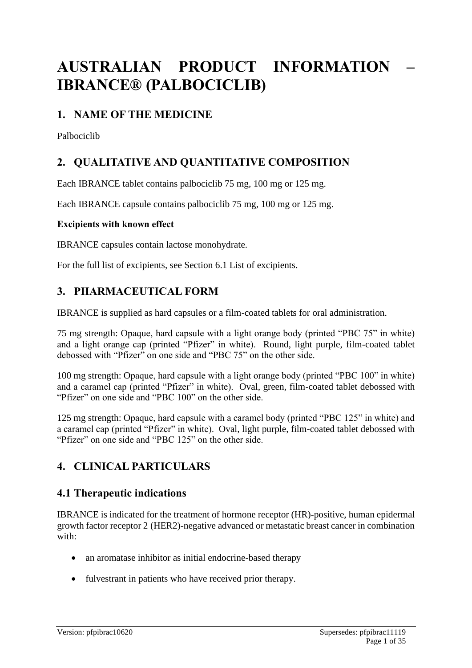# **AUSTRALIAN PRODUCT INFORMATION – IBRANCE® (PALBOCICLIB)**

## **1. NAME OF THE MEDICINE**

Palbociclib

## **2. QUALITATIVE AND QUANTITATIVE COMPOSITION**

Each IBRANCE tablet contains palbociclib 75 mg, 100 mg or 125 mg.

Each IBRANCE capsule contains palbociclib 75 mg, 100 mg or 125 mg.

#### **Excipients with known effect**

IBRANCE capsules contain lactose monohydrate.

For the full list of excipients, see Section 6.1 List of excipients.

## **3. PHARMACEUTICAL FORM**

IBRANCE is supplied as hard capsules or a film-coated tablets for oral administration.

75 mg strength: Opaque, hard capsule with a light orange body (printed "PBC 75" in white) and a light orange cap (printed "Pfizer" in white). Round, light purple, film-coated tablet debossed with "Pfizer" on one side and "PBC 75" on the other side.

100 mg strength: Opaque, hard capsule with a light orange body (printed "PBC 100" in white) and a caramel cap (printed "Pfizer" in white). Oval, green, film-coated tablet debossed with "Pfizer" on one side and "PBC 100" on the other side.

125 mg strength: Opaque, hard capsule with a caramel body (printed "PBC 125" in white) and a caramel cap (printed "Pfizer" in white). Oval, light purple, film-coated tablet debossed with "Pfizer" on one side and "PBC 125" on the other side.

## **4. CLINICAL PARTICULARS**

## **4.1 Therapeutic indications**

IBRANCE is indicated for the treatment of hormone receptor (HR)-positive, human epidermal growth factor receptor 2 (HER2)-negative advanced or metastatic breast cancer in combination with:

- an aromatase inhibitor as initial endocrine-based therapy
- fulvestrant in patients who have received prior therapy.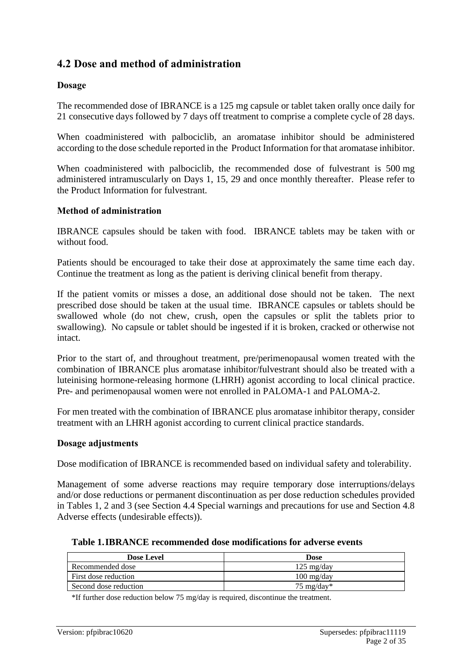## **4.2 Dose and method of administration**

#### **Dosage**

The recommended dose of IBRANCE is a 125 mg capsule or tablet taken orally once daily for 21 consecutive days followed by 7 days off treatment to comprise a complete cycle of 28 days.

When coadministered with palbociclib, an aromatase inhibitor should be administered according to the dose schedule reported in the Product Information for that aromatase inhibitor.

When coadministered with palbociclib, the recommended dose of fulvestrant is 500 mg administered intramuscularly on Days 1, 15, 29 and once monthly thereafter. Please refer to the Product Information for fulvestrant.

#### **Method of administration**

IBRANCE capsules should be taken with food. IBRANCE tablets may be taken with or without food.

Patients should be encouraged to take their dose at approximately the same time each day. Continue the treatment as long as the patient is deriving clinical benefit from therapy.

If the patient vomits or misses a dose, an additional dose should not be taken. The next prescribed dose should be taken at the usual time. IBRANCE capsules or tablets should be swallowed whole (do not chew, crush, open the capsules or split the tablets prior to swallowing). No capsule or tablet should be ingested if it is broken, cracked or otherwise not intact.

Prior to the start of, and throughout treatment, pre/perimenopausal women treated with the combination of IBRANCE plus aromatase inhibitor/fulvestrant should also be treated with a luteinising hormone-releasing hormone (LHRH) agonist according to local clinical practice. Pre- and perimenopausal women were not enrolled in PALOMA-1 and PALOMA-2.

For men treated with the combination of IBRANCE plus aromatase inhibitor therapy, consider treatment with an LHRH agonist according to current clinical practice standards.

#### **Dosage adjustments**

Dose modification of IBRANCE is recommended based on individual safety and tolerability.

Management of some adverse reactions may require temporary dose interruptions/delays and/or dose reductions or permanent discontinuation as per dose reduction schedules provided in Tables 1, 2 and 3 (see Section 4.4 Special warnings and precautions for use and Section 4.8 Adverse effects (undesirable effects)).

| Table 1. IBRANCE recommended dose modifications for adverse events |  |  |
|--------------------------------------------------------------------|--|--|
|--------------------------------------------------------------------|--|--|

| <b>Dose Level</b>     | Dose                 |
|-----------------------|----------------------|
| Recommended dose      | $125 \text{ mg/day}$ |
| First dose reduction  | $100 \text{ mg/day}$ |
| Second dose reduction | 75 mg/day*           |

\*If further dose reduction below 75 mg/day is required, discontinue the treatment.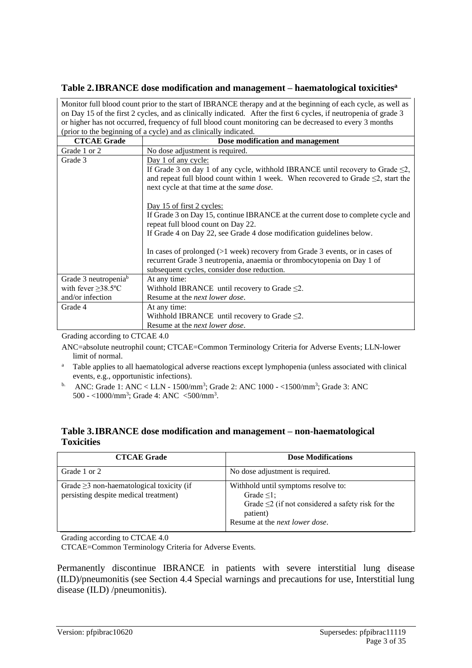#### **Table 2.IBRANCE dose modification and management – haematological toxicities<sup>a</sup>**

|                                  | Monitor full blood count prior to the start of IBRANCE therapy and at the beginning of each cycle, as well as     |  |  |  |  |  |  |
|----------------------------------|-------------------------------------------------------------------------------------------------------------------|--|--|--|--|--|--|
|                                  | on Day 15 of the first 2 cycles, and as clinically indicated. After the first 6 cycles, if neutropenia of grade 3 |  |  |  |  |  |  |
|                                  | or higher has not occurred, frequency of full blood count monitoring can be decreased to every 3 months           |  |  |  |  |  |  |
|                                  | (prior to the beginning of a cycle) and as clinically indicated.                                                  |  |  |  |  |  |  |
| <b>CTCAE Grade</b>               | Dose modification and management                                                                                  |  |  |  |  |  |  |
| Grade 1 or 2                     | No dose adjustment is required.                                                                                   |  |  |  |  |  |  |
| Grade 3                          | Day 1 of any cycle:                                                                                               |  |  |  |  |  |  |
|                                  | If Grade 3 on day 1 of any cycle, withhold IBRANCE until recovery to Grade $\leq 2$ ,                             |  |  |  |  |  |  |
|                                  | and repeat full blood count within 1 week. When recovered to Grade $\leq$ 2, start the                            |  |  |  |  |  |  |
|                                  | next cycle at that time at the same dose.                                                                         |  |  |  |  |  |  |
|                                  |                                                                                                                   |  |  |  |  |  |  |
| Day 15 of first 2 cycles:        |                                                                                                                   |  |  |  |  |  |  |
|                                  | If Grade 3 on Day 15, continue IBRANCE at the current dose to complete cycle and                                  |  |  |  |  |  |  |
|                                  | repeat full blood count on Day 22.                                                                                |  |  |  |  |  |  |
|                                  | If Grade 4 on Day 22, see Grade 4 dose modification guidelines below.                                             |  |  |  |  |  |  |
|                                  |                                                                                                                   |  |  |  |  |  |  |
|                                  | In cases of prolonged $(>1$ week) recovery from Grade 3 events, or in cases of                                    |  |  |  |  |  |  |
|                                  | recurrent Grade 3 neutropenia, anaemia or thrombocytopenia on Day 1 of                                            |  |  |  |  |  |  |
|                                  | subsequent cycles, consider dose reduction.                                                                       |  |  |  |  |  |  |
| Grade 3 neutropenia <sup>b</sup> | At any time:                                                                                                      |  |  |  |  |  |  |
| with fever $\geq$ 38.5°C         | Withhold IBRANCE until recovery to Grade $\leq$ 2.                                                                |  |  |  |  |  |  |
| and/or infection                 | Resume at the <i>next lower dose</i> .                                                                            |  |  |  |  |  |  |
| Grade 4                          | At any time:                                                                                                      |  |  |  |  |  |  |
|                                  | Withhold IBRANCE until recovery to Grade $\leq$ 2.                                                                |  |  |  |  |  |  |
|                                  | Resume at the next lower dose.                                                                                    |  |  |  |  |  |  |
|                                  |                                                                                                                   |  |  |  |  |  |  |

Grading according to CTCAE 4.0

ANC=absolute neutrophil count; CTCAE=Common Terminology Criteria for Adverse Events; LLN-lower limit of normal.

- <sup>a</sup> Table applies to all haematological adverse reactions except lymphopenia (unless associated with clinical events, e.g., opportunistic infections).
- <sup>b.</sup> ANC: Grade 1: ANC < LLN 1500/mm<sup>3</sup>; Grade 2: ANC 1000 < 1500/mm<sup>3</sup>; Grade 3: ANC 500 - <1000/mm<sup>3</sup>; Grade 4: ANC <500/mm<sup>3</sup>.

#### **Table 3.IBRANCE dose modification and management – non-haematological Toxicities**

| <b>CTCAE Grade</b>                                                                      | <b>Dose Modifications</b>                                                                                                                                               |
|-----------------------------------------------------------------------------------------|-------------------------------------------------------------------------------------------------------------------------------------------------------------------------|
| Grade 1 or 2                                                                            | No dose adjustment is required.                                                                                                                                         |
| Grade $\geq$ 3 non-haematological toxicity (if<br>persisting despite medical treatment) | Withhold until symptoms resolve to:<br>Grade $\leq$ 1:<br>Grade $\leq$ 2 (if not considered a safety risk for the<br>patient)<br>Resume at the <i>next lower dose</i> . |

Grading according to CTCAE 4.0

CTCAE=Common Terminology Criteria for Adverse Events.

Permanently discontinue IBRANCE in patients with severe interstitial lung disease (ILD)/pneumonitis (see Section 4.4 Special warnings and precautions for use, Interstitial lung disease (ILD) /pneumonitis).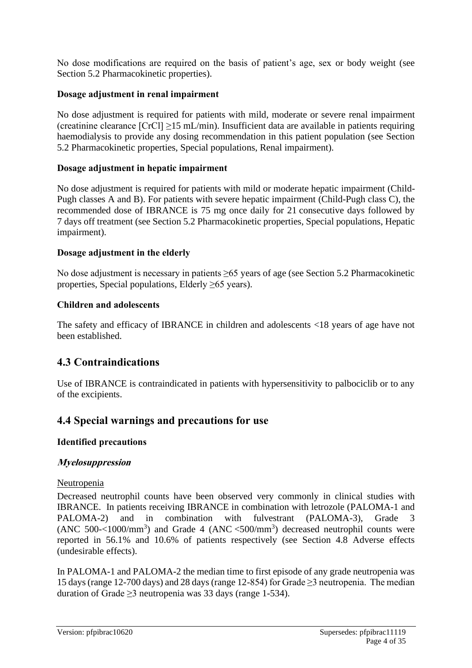No dose modifications are required on the basis of patient's age, sex or body weight (see Section 5.2 Pharmacokinetic properties).

#### **Dosage adjustment in renal impairment**

No dose adjustment is required for patients with mild, moderate or severe renal impairment (creatinine clearance  $[CrCl] \ge 15$  mL/min). Insufficient data are available in patients requiring haemodialysis to provide any dosing recommendation in this patient population (see Section 5.2 Pharmacokinetic properties, Special populations, Renal impairment).

#### **Dosage adjustment in hepatic impairment**

No dose adjustment is required for patients with mild or moderate hepatic impairment (Child-Pugh classes A and B). For patients with severe hepatic impairment (Child-Pugh class C), the recommended dose of IBRANCE is 75 mg once daily for 21 consecutive days followed by 7 days off treatment (see Section 5.2 Pharmacokinetic properties, Special populations, Hepatic impairment).

#### **Dosage adjustment in the elderly**

No dose adjustment is necessary in patients ≥65 years of age (see Section 5.2 Pharmacokinetic properties, Special populations, Elderly  $\geq 65$  years).

#### **Children and adolescents**

The safety and efficacy of IBRANCE in children and adolescents <18 years of age have not been established.

### **4.3 Contraindications**

Use of IBRANCE is contraindicated in patients with hypersensitivity to palbociclib or to any of the excipients.

### **4.4 Special warnings and precautions for use**

#### **Identified precautions**

#### **Myelosuppression**

#### Neutropenia

Decreased neutrophil counts have been observed very commonly in clinical studies with IBRANCE. In patients receiving IBRANCE in combination with letrozole (PALOMA-1 and PALOMA-2) and in combination with fulvestrant (PALOMA-3), Grade 3 (ANC 500-<1000/mm<sup>3</sup>) and Grade 4 (ANC <500/mm<sup>3</sup>) decreased neutrophil counts were reported in 56.1% and 10.6% of patients respectively (see Section 4.8 Adverse effects (undesirable effects).

In PALOMA-1 and PALOMA-2 the median time to first episode of any grade neutropenia was 15 days (range 12-700 days) and 28 days (range 12-854) for Grade ≥3 neutropenia. The median duration of Grade  $\geq$ 3 neutropenia was 33 days (range 1-534).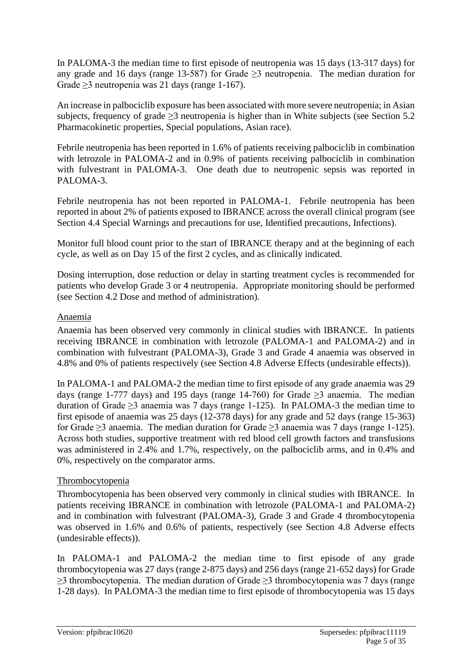In PALOMA-3 the median time to first episode of neutropenia was 15 days (13-317 days) for any grade and 16 days (range 13-587) for Grade  $\geq$ 3 neutropenia. The median duration for Grade  $\geq$ 3 neutropenia was 21 days (range 1-167).

An increase in palbociclib exposure has been associated with more severe neutropenia; in Asian subjects, frequency of grade ≥3 neutropenia is higher than in White subjects (see Section 5.2 Pharmacokinetic properties, Special populations, Asian race).

Febrile neutropenia has been reported in 1.6% of patients receiving palbociclib in combination with letrozole in PALOMA-2 and in 0.9% of patients receiving palbociclib in combination with fulvestrant in PALOMA-3. One death due to neutropenic sepsis was reported in PALOMA-3.

Febrile neutropenia has not been reported in PALOMA-1. Febrile neutropenia has been reported in about 2% of patients exposed to IBRANCE across the overall clinical program (see Section 4.4 Special Warnings and precautions for use, Identified precautions, Infections).

Monitor full blood count prior to the start of IBRANCE therapy and at the beginning of each cycle, as well as on Day 15 of the first 2 cycles, and as clinically indicated.

Dosing interruption, dose reduction or delay in starting treatment cycles is recommended for patients who develop Grade 3 or 4 neutropenia. Appropriate monitoring should be performed (see Section 4.2 Dose and method of administration).

#### Anaemia

Anaemia has been observed very commonly in clinical studies with IBRANCE. In patients receiving IBRANCE in combination with letrozole (PALOMA-1 and PALOMA-2) and in combination with fulvestrant (PALOMA-3), Grade 3 and Grade 4 anaemia was observed in 4.8% and 0% of patients respectively (see Section 4.8 Adverse Effects (undesirable effects)).

In PALOMA-1 and PALOMA-2 the median time to first episode of any grade anaemia was 29 days (range 1-777 days) and 195 days (range 14-760) for Grade  $\geq$ 3 anaemia. The median duration of Grade  $\geq$ 3 anaemia was 7 days (range 1-125). In PALOMA-3 the median time to first episode of anaemia was 25 days (12-378 days) for any grade and 52 days (range 15-363) for Grade  $\geq$ 3 anaemia. The median duration for Grade  $\geq$ 3 anaemia was 7 days (range 1-125). Across both studies, supportive treatment with red blood cell growth factors and transfusions was administered in 2.4% and 1.7%, respectively, on the palbociclib arms, and in 0.4% and 0%, respectively on the comparator arms.

#### Thrombocytopenia

Thrombocytopenia has been observed very commonly in clinical studies with IBRANCE. In patients receiving IBRANCE in combination with letrozole (PALOMA-1 and PALOMA-2) and in combination with fulvestrant (PALOMA-3), Grade 3 and Grade 4 thrombocytopenia was observed in 1.6% and 0.6% of patients, respectively (see Section 4.8 Adverse effects (undesirable effects)).

In PALOMA-1 and PALOMA-2 the median time to first episode of any grade thrombocytopenia was 27 days (range 2-875 days) and 256 days (range 21-652 days) for Grade  $\geq$ 3 thrombocytopenia. The median duration of Grade  $\geq$ 3 thrombocytopenia was 7 days (range 1-28 days). In PALOMA-3 the median time to first episode of thrombocytopenia was 15 days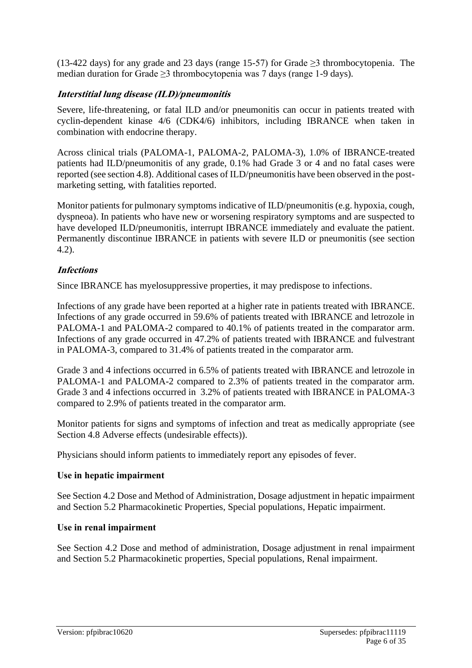(13-422 days) for any grade and 23 days (range 15-57) for Grade  $\geq$ 3 thrombocytopenia. The median duration for Grade  $\geq$ 3 thrombocytopenia was 7 days (range 1-9 days).

#### **Interstitial lung disease (ILD)/pneumonitis**

Severe, life-threatening, or fatal ILD and/or pneumonitis can occur in patients treated with cyclin-dependent kinase 4/6 (CDK4/6) inhibitors, including IBRANCE when taken in combination with endocrine therapy.

Across clinical trials (PALOMA-1, PALOMA-2, PALOMA-3), 1.0% of IBRANCE-treated patients had ILD/pneumonitis of any grade, 0.1% had Grade 3 or 4 and no fatal cases were reported (see section 4.8). Additional cases of ILD/pneumonitis have been observed in the postmarketing setting, with fatalities reported.

Monitor patients for pulmonary symptoms indicative of ILD/pneumonitis (e.g. hypoxia, cough, dyspneoa). In patients who have new or worsening respiratory symptoms and are suspected to have developed ILD/pneumonitis, interrupt IBRANCE immediately and evaluate the patient. Permanently discontinue IBRANCE in patients with severe ILD or pneumonitis (see section 4.2).

#### **Infections**

Since IBRANCE has myelosuppressive properties, it may predispose to infections.

Infections of any grade have been reported at a higher rate in patients treated with IBRANCE. Infections of any grade occurred in 59.6% of patients treated with IBRANCE and letrozole in PALOMA-1 and PALOMA-2 compared to 40.1% of patients treated in the comparator arm. Infections of any grade occurred in 47.2% of patients treated with IBRANCE and fulvestrant in PALOMA-3, compared to 31.4% of patients treated in the comparator arm.

Grade 3 and 4 infections occurred in 6.5% of patients treated with IBRANCE and letrozole in PALOMA-1 and PALOMA-2 compared to 2.3% of patients treated in the comparator arm. Grade 3 and 4 infections occurred in 3.2% of patients treated with IBRANCE in PALOMA-3 compared to 2.9% of patients treated in the comparator arm.

Monitor patients for signs and symptoms of infection and treat as medically appropriate (see Section 4.8 Adverse effects (undesirable effects)).

Physicians should inform patients to immediately report any episodes of fever.

#### **Use in hepatic impairment**

See Section 4.2 Dose and Method of Administration, Dosage adjustment in hepatic impairment and Section 5.2 Pharmacokinetic Properties, Special populations, Hepatic impairment.

#### **Use in renal impairment**

See Section 4.2 Dose and method of administration, Dosage adjustment in renal impairment and Section 5.2 Pharmacokinetic properties, Special populations, Renal impairment.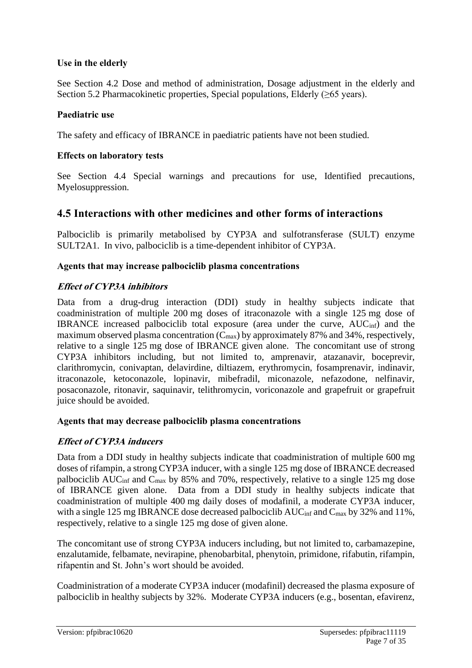#### **Use in the elderly**

See Section 4.2 Dose and method of administration, Dosage adjustment in the elderly and Section 5.2 Pharmacokinetic properties, Special populations, Elderly  $(\geq 65 \text{ years})$ .

#### **Paediatric use**

The safety and efficacy of IBRANCE in paediatric patients have not been studied.

#### **Effects on laboratory tests**

See Section 4.4 Special warnings and precautions for use, Identified precautions, Myelosuppression.

### **4.5 Interactions with other medicines and other forms of interactions**

Palbociclib is primarily metabolised by CYP3A and sulfotransferase (SULT) enzyme SULT2A1. In vivo, palbociclib is a time-dependent inhibitor of CYP3A.

#### **Agents that may increase palbociclib plasma concentrations**

#### **Effect of CYP3A inhibitors**

Data from a drug-drug interaction (DDI) study in healthy subjects indicate that coadministration of multiple 200 mg doses of itraconazole with a single 125 mg dose of IBRANCE increased palbociclib total exposure (area under the curve, AUCinf) and the maximum observed plasma concentration  $(C_{\text{max}})$  by approximately 87% and 34%, respectively, relative to a single 125 mg dose of IBRANCE given alone.The concomitant use of strong CYP3A inhibitors including, but not limited to, amprenavir, atazanavir, boceprevir, clarithromycin, conivaptan, delavirdine, diltiazem, erythromycin, fosamprenavir, indinavir, itraconazole, ketoconazole, lopinavir, mibefradil, miconazole, nefazodone, nelfinavir, posaconazole, ritonavir, saquinavir, telithromycin, voriconazole and grapefruit or grapefruit juice should be avoided.

#### **Agents that may decrease palbociclib plasma concentrations**

#### **Effect of CYP3A inducers**

Data from a DDI study in healthy subjects indicate that coadministration of multiple 600 mg doses of rifampin, a strong CYP3A inducer, with a single 125 mg dose of IBRANCE decreased palbociclib AUCinf and Cmax by 85% and 70%, respectively, relative to a single 125 mg dose of IBRANCE given alone. Data from a DDI study in healthy subjects indicate that coadministration of multiple 400 mg daily doses of modafinil, a moderate CYP3A inducer, with a single 125 mg IBRANCE dose decreased palbociclib AUC<sub>inf</sub> and C<sub>max</sub> by 32% and 11%, respectively, relative to a single 125 mg dose of given alone.

The concomitant use of strong CYP3A inducers including, but not limited to, carbamazepine, enzalutamide, felbamate, nevirapine, phenobarbital, phenytoin, primidone, rifabutin, rifampin, rifapentin and St. John's wort should be avoided.

Coadministration of a moderate CYP3A inducer (modafinil) decreased the plasma exposure of palbociclib in healthy subjects by 32%. Moderate CYP3A inducers (e.g., bosentan, efavirenz,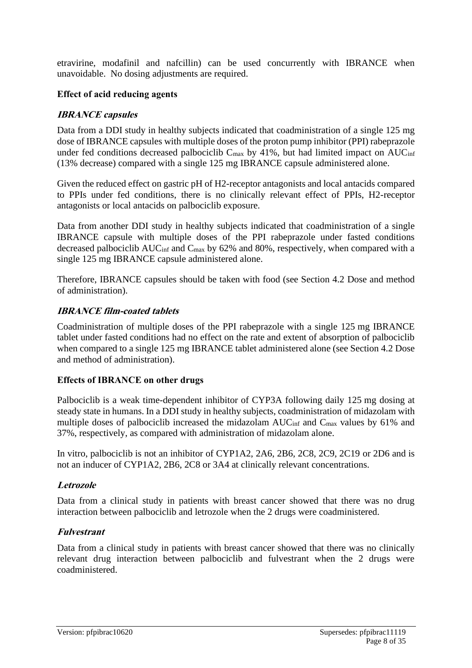etravirine, modafinil and nafcillin) can be used concurrently with IBRANCE when unavoidable. No dosing adjustments are required.

#### **Effect of acid reducing agents**

#### **IBRANCE capsules**

Data from a DDI study in healthy subjects indicated that coadministration of a single 125 mg dose of IBRANCE capsules with multiple doses of the proton pump inhibitor (PPI) rabeprazole under fed conditions decreased palbociclib  $C_{\text{max}}$  by 41%, but had limited impact on AUC<sub>inf</sub> (13% decrease) compared with a single 125 mg IBRANCE capsule administered alone.

Given the reduced effect on gastric pH of H2-receptor antagonists and local antacids compared to PPIs under fed conditions, there is no clinically relevant effect of PPIs, H2-receptor antagonists or local antacids on palbociclib exposure.

Data from another DDI study in healthy subjects indicated that coadministration of a single IBRANCE capsule with multiple doses of the PPI rabeprazole under fasted conditions decreased palbociclib  $AUC_{inf}$  and  $C_{max}$  by 62% and 80%, respectively, when compared with a single 125 mg IBRANCE capsule administered alone.

Therefore, IBRANCE capsules should be taken with food (see Section 4.2 Dose and method of administration).

#### **IBRANCE film-coated tablets**

Coadministration of multiple doses of the PPI rabeprazole with a single 125 mg IBRANCE tablet under fasted conditions had no effect on the rate and extent of absorption of palbociclib when compared to a single 125 mg IBRANCE tablet administered alone (see Section 4.2 Dose and method of administration).

#### **Effects of IBRANCE on other drugs**

Palbociclib is a weak time-dependent inhibitor of CYP3A following daily 125 mg dosing at steady state in humans. In a DDI study in healthy subjects, coadministration of midazolam with multiple doses of palbociclib increased the midazolam  $AUC_{\text{inf}}$  and  $C_{\text{max}}$  values by 61% and 37%, respectively, as compared with administration of midazolam alone.

In vitro, palbociclib is not an inhibitor of CYP1A2, 2A6, 2B6, 2C8, 2C9, 2C19 or 2D6 and is not an inducer of CYP1A2, 2B6, 2C8 or 3A4 at clinically relevant concentrations.

#### **Letrozole**

Data from a clinical study in patients with breast cancer showed that there was no drug interaction between palbociclib and letrozole when the 2 drugs were coadministered.

#### **Fulvestrant**

Data from a clinical study in patients with breast cancer showed that there was no clinically relevant drug interaction between palbociclib and fulvestrant when the 2 drugs were coadministered.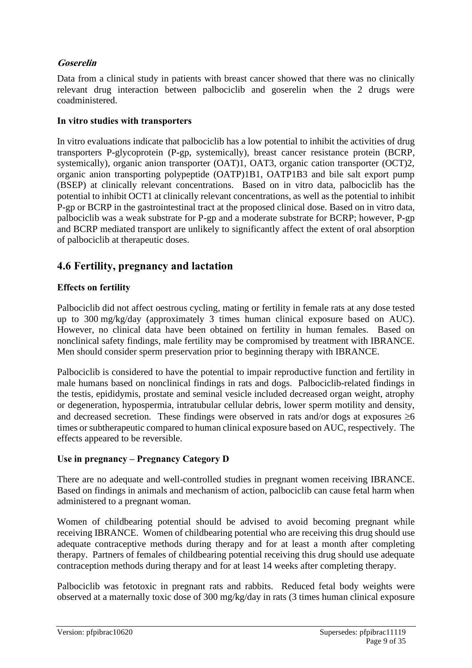#### **Goserelin**

Data from a clinical study in patients with breast cancer showed that there was no clinically relevant drug interaction between palbociclib and goserelin when the 2 drugs were coadministered.

#### **In vitro studies with transporters**

In vitro evaluations indicate that palbociclib has a low potential to inhibit the activities of drug transporters P-glycoprotein (P-gp, systemically), breast cancer resistance protein (BCRP, systemically), organic anion transporter (OAT)1, OAT3, organic cation transporter (OCT)2, organic anion transporting polypeptide (OATP)1B1, OATP1B3 and bile salt export pump (BSEP) at clinically relevant concentrations. Based on in vitro data, palbociclib has the potential to inhibit OCT1 at clinically relevant concentrations, as well as the potential to inhibit P-gp or BCRP in the gastrointestinal tract at the proposed clinical dose. Based on in vitro data, palbociclib was a weak substrate for P-gp and a moderate substrate for BCRP; however, P-gp and BCRP mediated transport are unlikely to significantly affect the extent of oral absorption of palbociclib at therapeutic doses.

### **4.6 Fertility, pregnancy and lactation**

#### **Effects on fertility**

Palbociclib did not affect oestrous cycling, mating or fertility in female rats at any dose tested up to 300 mg/kg/day (approximately 3 times human clinical exposure based on AUC). However, no clinical data have been obtained on fertility in human females. Based on nonclinical safety findings, male fertility may be compromised by treatment with IBRANCE. Men should consider sperm preservation prior to beginning therapy with IBRANCE.

Palbociclib is considered to have the potential to impair reproductive function and fertility in male humans based on nonclinical findings in rats and dogs. Palbociclib-related findings in the testis, epididymis, prostate and seminal vesicle included decreased organ weight, atrophy or degeneration, hypospermia, intratubular cellular debris, lower sperm motility and density, and decreased secretion. These findings were observed in rats and/or dogs at exposures  $\geq 6$ times or subtherapeutic compared to human clinical exposure based on AUC, respectively. The effects appeared to be reversible.

#### **Use in pregnancy – Pregnancy Category D**

There are no adequate and well-controlled studies in pregnant women receiving IBRANCE. Based on findings in animals and mechanism of action, palbociclib can cause fetal harm when administered to a pregnant woman.

Women of childbearing potential should be advised to avoid becoming pregnant while receiving IBRANCE. Women of childbearing potential who are receiving this drug should use adequate contraceptive methods during therapy and for at least a month after completing therapy. Partners of females of childbearing potential receiving this drug should use adequate contraception methods during therapy and for at least 14 weeks after completing therapy.

Palbociclib was fetotoxic in pregnant rats and rabbits. Reduced fetal body weights were observed at a maternally toxic dose of 300 mg/kg/day in rats (3 times human clinical exposure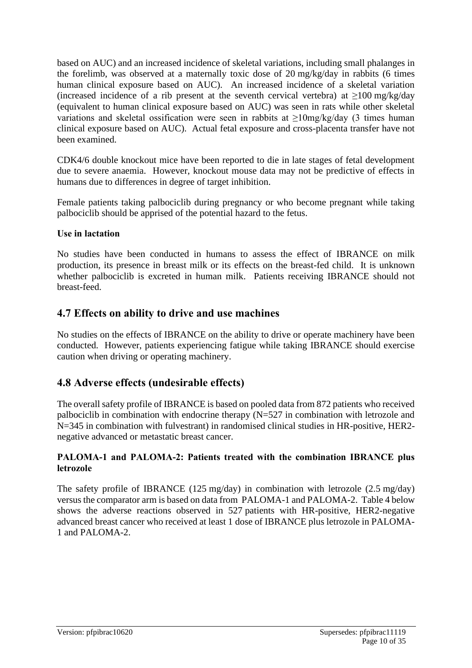based on AUC) and an increased incidence of skeletal variations, including small phalanges in the forelimb, was observed at a maternally toxic dose of 20 mg/kg/day in rabbits (6 times human clinical exposure based on AUC). An increased incidence of a skeletal variation (increased incidence of a rib present at the seventh cervical vertebra) at  $\geq$ 100 mg/kg/day (equivalent to human clinical exposure based on AUC) was seen in rats while other skeletal variations and skeletal ossification were seen in rabbits at ≥10mg/kg/day (3 times human clinical exposure based on AUC). Actual fetal exposure and cross-placenta transfer have not been examined.

CDK4/6 double knockout mice have been reported to die in late stages of fetal development due to severe anaemia. However, knockout mouse data may not be predictive of effects in humans due to differences in degree of target inhibition.

Female patients taking palbociclib during pregnancy or who become pregnant while taking palbociclib should be apprised of the potential hazard to the fetus.

#### **Use in lactation**

No studies have been conducted in humans to assess the effect of IBRANCE on milk production, its presence in breast milk or its effects on the breast-fed child. It is unknown whether palbociclib is excreted in human milk. Patients receiving IBRANCE should not breast-feed.

### **4.7 Effects on ability to drive and use machines**

No studies on the effects of IBRANCE on the ability to drive or operate machinery have been conducted. However, patients experiencing fatigue while taking IBRANCE should exercise caution when driving or operating machinery.

## **4.8 Adverse effects (undesirable effects)**

The overall safety profile of IBRANCE is based on pooled data from 872 patients who received palbociclib in combination with endocrine therapy (N=527 in combination with letrozole and N=345 in combination with fulvestrant) in randomised clinical studies in HR-positive, HER2 negative advanced or metastatic breast cancer.

#### **PALOMA-1 and PALOMA-2: Patients treated with the combination IBRANCE plus letrozole**

The safety profile of IBRANCE (125 mg/day) in combination with letrozole (2.5 mg/day) versus the comparator arm is based on data from PALOMA-1 and PALOMA-2. Table 4 below shows the adverse reactions observed in 527 patients with HR-positive, HER2-negative advanced breast cancer who received at least 1 dose of IBRANCE plus letrozole in PALOMA-1 and PALOMA-2.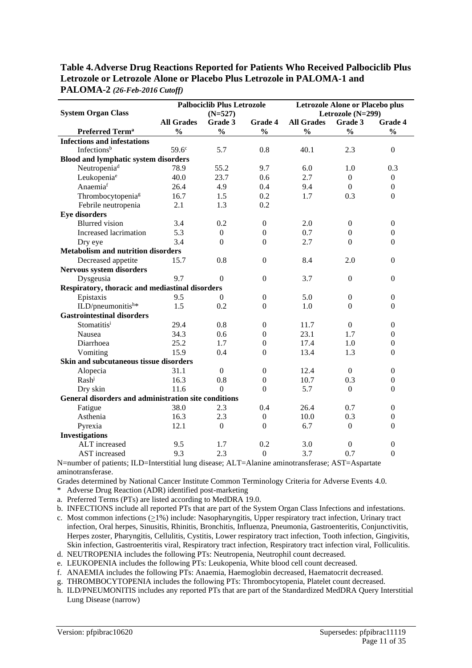| Table 4. Adverse Drug Reactions Reported for Patients Who Received Palbociclib Plus |
|-------------------------------------------------------------------------------------|
| Letrozole or Letrozole Alone or Placebo Plus Letrozole in PALOMA-1 and              |
| $PALOMA-2 (26-Feb-2016 Cutoff)$                                                     |

|                                                      |                   | <b>Palbociclib Plus Letrozole</b> |                  | <b>Letrozole Alone or Placebo plus</b> |                   |                  |  |
|------------------------------------------------------|-------------------|-----------------------------------|------------------|----------------------------------------|-------------------|------------------|--|
| <b>System Organ Class</b>                            |                   | $(N=527)$                         |                  |                                        | Letrozole (N=299) |                  |  |
|                                                      | <b>All Grades</b> | Grade 3                           | Grade 4          | <b>All Grades</b>                      | Grade 3           | Grade 4          |  |
| Preferred Term <sup>a</sup>                          | $\frac{0}{0}$     | $\frac{0}{0}$                     | $\frac{0}{0}$    | $\frac{0}{0}$                          | $\frac{0}{0}$     | $\frac{0}{0}$    |  |
| <b>Infections and infestations</b>                   |                   |                                   |                  |                                        |                   |                  |  |
| Infectionsb                                          | 59.6 <sup>c</sup> | 5.7                               | 0.8              | 40.1                                   | 2.3               | $\overline{0}$   |  |
| <b>Blood and lymphatic system disorders</b>          |                   |                                   |                  |                                        |                   |                  |  |
| Neutropenia <sup>d</sup>                             | 78.9              | 55.2                              | 9.7              | 6.0                                    | 1.0               | 0.3              |  |
| Leukopenia <sup>e</sup>                              | 40.0              | 23.7                              | 0.6              | 2.7                                    | $\boldsymbol{0}$  | $\boldsymbol{0}$ |  |
| Anaemiaf                                             | 26.4              | 4.9                               | 0.4              | 9.4                                    | $\mathbf{0}$      | $\mathbf{0}$     |  |
| Thrombocytopenia <sup>g</sup>                        | 16.7              | 1.5                               | 0.2              | 1.7                                    | 0.3               | $\overline{0}$   |  |
| Febrile neutropenia                                  | 2.1               | 1.3                               | 0.2              |                                        |                   |                  |  |
| <b>Eye disorders</b>                                 |                   |                                   |                  |                                        |                   |                  |  |
| <b>Blurred</b> vision                                | 3.4               | 0.2                               | $\overline{0}$   | 2.0                                    | $\overline{0}$    | $\boldsymbol{0}$ |  |
| Increased lacrimation                                | 5.3               | $\mathbf{0}$                      | $\boldsymbol{0}$ | 0.7                                    | $\overline{0}$    | $\boldsymbol{0}$ |  |
| Dry eye                                              | 3.4               | $\overline{0}$                    | $\Omega$         | 2.7                                    | $\Omega$          | $\theta$         |  |
| <b>Metabolism and nutrition disorders</b>            |                   |                                   |                  |                                        |                   |                  |  |
| Decreased appetite                                   | 15.7              | 0.8                               | $\boldsymbol{0}$ | 8.4                                    | 2.0               | $\mathbf{0}$     |  |
| Nervous system disorders                             |                   |                                   |                  |                                        |                   |                  |  |
| Dysgeusia                                            | 9.7               | $\theta$                          | $\Omega$         | 3.7                                    | $\overline{0}$    | $\mathbf{0}$     |  |
| Respiratory, thoracic and mediastinal disorders      |                   |                                   |                  |                                        |                   |                  |  |
| Epistaxis                                            | 9.5               | $\Omega$                          | $\overline{0}$   | 5.0                                    | $\boldsymbol{0}$  | $\boldsymbol{0}$ |  |
| ILD/pneumonitish*                                    | 1.5               | 0.2                               | $\Omega$         | 1.0                                    | $\Omega$          | $\Omega$         |  |
| <b>Gastrointestinal disorders</b>                    |                   |                                   |                  |                                        |                   |                  |  |
| Stomatitisi                                          | 29.4              | 0.8                               | $\overline{0}$   | 11.7                                   | $\mathbf{0}$      | $\boldsymbol{0}$ |  |
| Nausea                                               | 34.3              | 0.6                               | $\Omega$         | 23.1                                   | 1.7               | $\overline{0}$   |  |
| Diarrhoea                                            | 25.2              | 1.7                               | $\mathbf{0}$     | 17.4                                   | 1.0               | $\boldsymbol{0}$ |  |
| Vomiting                                             | 15.9              | 0.4                               | $\overline{0}$   | 13.4                                   | 1.3               | $\mathbf{0}$     |  |
| Skin and subcutaneous tissue disorders               |                   |                                   |                  |                                        |                   |                  |  |
| Alopecia                                             | 31.1              | $\mathbf{0}$                      | $\mathbf{0}$     | 12.4                                   | $\overline{0}$    | $\overline{0}$   |  |
| Rash                                                 | 16.3              | 0.8                               | $\boldsymbol{0}$ | 10.7                                   | 0.3               | $\boldsymbol{0}$ |  |
| Dry skin                                             | 11.6              | $\overline{0}$                    | $\Omega$         | 5.7                                    | $\mathbf{0}$      | $\theta$         |  |
| General disorders and administration site conditions |                   |                                   |                  |                                        |                   |                  |  |
| Fatigue                                              | 38.0              | 2.3                               | 0.4              | 26.4                                   | 0.7               | $\boldsymbol{0}$ |  |
| Asthenia                                             | 16.3              | 2.3                               | $\Omega$         | 10.0                                   | 0.3               | $\mathbf{0}$     |  |
| Pyrexia                                              | 12.1              | $\mathbf{0}$                      | $\Omega$         | 6.7                                    | $\overline{0}$    | $\mathbf{0}$     |  |
| <b>Investigations</b>                                |                   |                                   |                  |                                        |                   |                  |  |
| ALT increased                                        | 9.5               | 1.7                               | 0.2              | 3.0                                    | $\Omega$          | $\overline{0}$   |  |
| AST increased                                        | 9.3               | 2.3                               | $\boldsymbol{0}$ | 3.7                                    | 0.7               | $\mathbf{0}$     |  |

N=number of patients; ILD=Interstitial lung disease; ALT=Alanine aminotransferase; AST=Aspartate aminotransferase.

Grades determined by National Cancer Institute Common Terminology Criteria for Adverse Events 4.0.

\* Adverse Drug Reaction (ADR) identified post-marketing

a. Preferred Terms (PTs) are listed according to MedDRA 19.0.

b. INFECTIONS include all reported PTs that are part of the System Organ Class Infections and infestations.

- c. Most common infections  $(21%)$  include: Nasopharyngitis, Upper respiratory tract infection, Urinary tract infection, Oral herpes, Sinusitis, Rhinitis, Bronchitis, Influenza, Pneumonia, Gastroenteritis, Conjunctivitis, Herpes zoster, Pharyngitis, Cellulitis, Cystitis, Lower respiratory tract infection, Tooth infection, Gingivitis, Skin infection, Gastroenteritis viral, Respiratory tract infection, Respiratory tract infection viral, Folliculitis. d. NEUTROPENIA includes the following PTs: Neutropenia, Neutrophil count decreased.
- e. LEUKOPENIA includes the following PTs: Leukopenia, White blood cell count decreased.
- f. ANAEMIA includes the following PTs: Anaemia, Haemoglobin decreased, Haematocrit decreased.
- g. THROMBOCYTOPENIA includes the following PTs: Thrombocytopenia, Platelet count decreased.
- h. ILD/PNEUMONITIS includes any reported PTs that are part of the Standardized MedDRA Query Interstitial Lung Disease (narrow)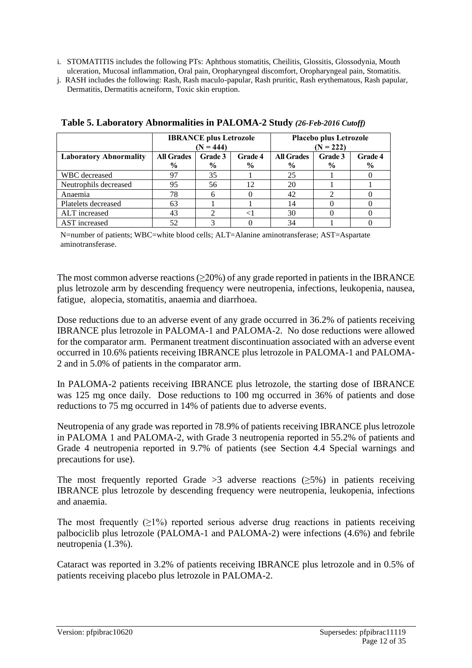- i. STOMATITIS includes the following PTs: Aphthous stomatitis, Cheilitis, Glossitis, Glossodynia, Mouth ulceration, Mucosal inflammation, Oral pain, Oropharyngeal discomfort, Oropharyngeal pain, Stomatitis.
- j. RASH includes the following: Rash, Rash maculo-papular, Rash pruritic, Rash erythematous, Rash papular, Dermatitis, Dermatitis acneiform, Toxic skin eruption.

|                               |                   | <b>IBRANCE</b> plus Letrozole |                | <b>Placebo plus Letrozole</b> |               |         |  |
|-------------------------------|-------------------|-------------------------------|----------------|-------------------------------|---------------|---------|--|
|                               |                   | $(N = 444)$                   |                | $(N = 222)$                   |               |         |  |
| <b>Laboratory Abnormality</b> | <b>All Grades</b> | Grade 3                       | <b>Grade 4</b> | <b>All Grades</b>             | Grade 3       | Grade 4 |  |
|                               | $\frac{6}{9}$     | $\frac{6}{9}$                 | $\frac{6}{9}$  | $\frac{0}{0}$                 | $\frac{6}{9}$ | $\%$    |  |
| WBC decreased                 | 97                | 35                            |                | 25                            |               |         |  |
| Neutrophils decreased         | 95                | 56                            | 12             | 20                            |               |         |  |
| Anaemia                       | 78                |                               |                | 42                            |               |         |  |
| Platelets decreased           | 63                |                               |                | 14                            |               |         |  |
| ALT increased                 | 43                |                               |                | 30                            |               |         |  |
| AST increased                 | 52                |                               |                | 34                            |               |         |  |

**Table 5. Laboratory Abnormalities in PALOMA-2 Study** *(26-Feb-2016 Cutoff)*

N=number of patients; WBC=white blood cells; ALT=Alanine aminotransferase; AST=Aspartate aminotransferase.

The most common adverse reactions  $(\geq 20\%)$  of any grade reported in patients in the IBRANCE plus letrozole arm by descending frequency were neutropenia, infections, leukopenia, nausea, fatigue, alopecia, stomatitis, anaemia and diarrhoea.

Dose reductions due to an adverse event of any grade occurred in 36.2% of patients receiving IBRANCE plus letrozole in PALOMA-1 and PALOMA-2. No dose reductions were allowed for the comparator arm. Permanent treatment discontinuation associated with an adverse event occurred in 10.6% patients receiving IBRANCE plus letrozole in PALOMA-1 and PALOMA-2 and in 5.0% of patients in the comparator arm.

In PALOMA-2 patients receiving IBRANCE plus letrozole, the starting dose of IBRANCE was 125 mg once daily. Dose reductions to 100 mg occurred in 36% of patients and dose reductions to 75 mg occurred in 14% of patients due to adverse events.

Neutropenia of any grade was reported in 78.9% of patients receiving IBRANCE plus letrozole in PALOMA 1 and PALOMA-2, with Grade 3 neutropenia reported in 55.2% of patients and Grade 4 neutropenia reported in 9.7% of patients (see Section 4.4 Special warnings and precautions for use).

The most frequently reported Grade >3 adverse reactions  $(≥5%)$  in patients receiving IBRANCE plus letrozole by descending frequency were neutropenia, leukopenia, infections and anaemia.

The most frequently  $(\geq 1\%)$  reported serious adverse drug reactions in patients receiving palbociclib plus letrozole (PALOMA-1 and PALOMA-2) were infections (4.6%) and febrile neutropenia (1.3%).

Cataract was reported in 3.2% of patients receiving IBRANCE plus letrozole and in 0.5% of patients receiving placebo plus letrozole in PALOMA-2.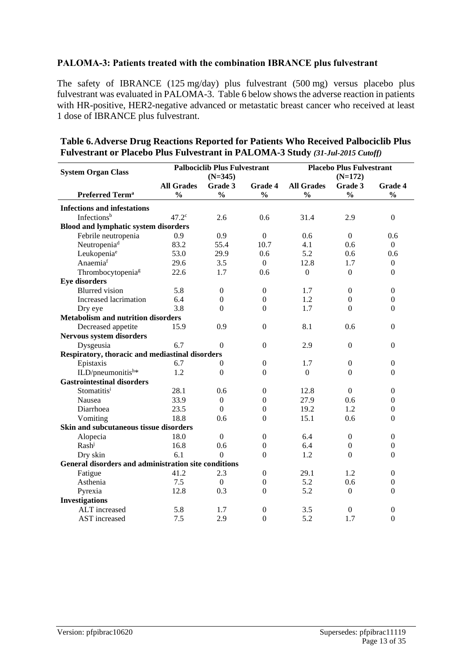#### **PALOMA-3: Patients treated with the combination IBRANCE plus fulvestrant**

The safety of IBRANCE (125 mg/day) plus fulvestrant (500 mg) versus placebo plus fulvestrant was evaluated in PALOMA-3. Table 6 below shows the adverse reaction in patients with HR-positive, HER2-negative advanced or metastatic breast cancer who received at least 1 dose of IBRANCE plus fulvestrant.

| <b>System Organ Class</b>                            |                   | <b>Palbociclib Plus Fulvestrant</b><br>$(N=345)$ |                  | <b>Placebo Plus Fulvestrant</b><br>$(N=172)$ |                  |                  |  |
|------------------------------------------------------|-------------------|--------------------------------------------------|------------------|----------------------------------------------|------------------|------------------|--|
|                                                      | <b>All Grades</b> | Grade 3                                          | <b>Grade 4</b>   | <b>All Grades</b>                            | Grade 3          | Grade 4          |  |
| <b>Preferred Term<sup>a</sup></b>                    | $\frac{0}{0}$     | $\frac{0}{0}$                                    | $\frac{0}{0}$    | $\frac{0}{0}$                                | $\frac{0}{0}$    | $\frac{0}{0}$    |  |
| <b>Infections and infestations</b>                   |                   |                                                  |                  |                                              |                  |                  |  |
| Infectionsb                                          | 47.2 <sup>c</sup> | 2.6                                              | 0.6              | 31.4                                         | 2.9              | $\boldsymbol{0}$ |  |
| <b>Blood and lymphatic system disorders</b>          |                   |                                                  |                  |                                              |                  |                  |  |
| Febrile neutropenia                                  | 0.9               | 0.9                                              | $\boldsymbol{0}$ | 0.6                                          | $\Omega$         | 0.6              |  |
| Neutropenia <sup>d</sup>                             | 83.2              | 55.4                                             | 10.7             | 4.1                                          | 0.6              | $\boldsymbol{0}$ |  |
| Leukopenia <sup>e</sup>                              | 53.0              | 29.9                                             | 0.6              | 5.2                                          | 0.6              | 0.6              |  |
| Anaemiaf                                             | 29.6              | 3.5                                              | $\Omega$         | 12.8                                         | 1.7              | $\boldsymbol{0}$ |  |
| Thrombocytopenia <sup>g</sup>                        | 22.6              | 1.7                                              | 0.6              | $\Omega$                                     | $\overline{0}$   | $\boldsymbol{0}$ |  |
| <b>Eye disorders</b>                                 |                   |                                                  |                  |                                              |                  |                  |  |
| <b>Blurred</b> vision                                | 5.8               | $\boldsymbol{0}$                                 | $\boldsymbol{0}$ | 1.7                                          | $\boldsymbol{0}$ | $\boldsymbol{0}$ |  |
| Increased lacrimation                                | 6.4               | $\mathbf{0}$                                     | $\theta$         | 1.2                                          | $\boldsymbol{0}$ | $\boldsymbol{0}$ |  |
| Dry eye                                              | 3.8               | $\theta$                                         | $\overline{0}$   | 1.7                                          | $\overline{0}$   | $\boldsymbol{0}$ |  |
| <b>Metabolism and nutrition disorders</b>            |                   |                                                  |                  |                                              |                  |                  |  |
| Decreased appetite                                   | 15.9              | 0.9                                              | $\boldsymbol{0}$ | 8.1                                          | 0.6              | $\boldsymbol{0}$ |  |
| <b>Nervous system disorders</b>                      |                   |                                                  |                  |                                              |                  |                  |  |
| Dysgeusia                                            | 6.7               | $\theta$                                         | $\boldsymbol{0}$ | 2.9                                          | $\mathbf{0}$     | $\overline{0}$   |  |
| Respiratory, thoracic and mediastinal disorders      |                   |                                                  |                  |                                              |                  |                  |  |
| Epistaxis                                            | 6.7               | 0                                                | $\boldsymbol{0}$ | 1.7                                          | $\boldsymbol{0}$ | $\boldsymbol{0}$ |  |
| ILD/pneumonitish*                                    | 1.2               | $\boldsymbol{0}$                                 | $\boldsymbol{0}$ | $\boldsymbol{0}$                             | $\overline{0}$   | $\boldsymbol{0}$ |  |
| <b>Gastrointestinal disorders</b>                    |                   |                                                  |                  |                                              |                  |                  |  |
| Stomatitisi                                          | 28.1              | 0.6                                              | $\boldsymbol{0}$ | 12.8                                         | $\boldsymbol{0}$ | $\boldsymbol{0}$ |  |
| Nausea                                               | 33.9              | $\overline{0}$                                   | $\theta$         | 27.9                                         | 0.6              | $\overline{0}$   |  |
| Diarrhoea                                            | 23.5              | $\boldsymbol{0}$                                 | $\boldsymbol{0}$ | 19.2                                         | 1.2              | $\boldsymbol{0}$ |  |
| Vomiting                                             | 18.8              | 0.6                                              | $\Omega$         | 15.1                                         | 0.6              | $\theta$         |  |
| Skin and subcutaneous tissue disorders               |                   |                                                  |                  |                                              |                  |                  |  |
| Alopecia                                             | 18.0              | $\Omega$                                         | $\theta$         | 6.4                                          | $\boldsymbol{0}$ | $\boldsymbol{0}$ |  |
| Rash                                                 | 16.8              | 0.6                                              | $\boldsymbol{0}$ | 6.4                                          | $\boldsymbol{0}$ | $\boldsymbol{0}$ |  |
| Dry skin                                             | 6.1               | $\Omega$                                         | $\theta$         | 1.2                                          | $\overline{0}$   | $\boldsymbol{0}$ |  |
| General disorders and administration site conditions |                   |                                                  |                  |                                              |                  |                  |  |
| Fatigue                                              | 41.2              | 2.3                                              | $\boldsymbol{0}$ | 29.1                                         | 1.2              | $\boldsymbol{0}$ |  |
| Asthenia                                             | 7.5               | $\Omega$                                         | $\theta$         | 5.2                                          | 0.6              | $\boldsymbol{0}$ |  |
| Pyrexia                                              | 12.8              | 0.3                                              | $\theta$         | 5.2                                          | $\boldsymbol{0}$ | $\boldsymbol{0}$ |  |
| <b>Investigations</b>                                |                   |                                                  |                  |                                              |                  |                  |  |
| ALT increased                                        | 5.8               | 1.7                                              | $\boldsymbol{0}$ | 3.5                                          | $\mathbf{0}$     | 0                |  |
| <b>AST</b> increased                                 | 7.5               | 2.9                                              | $\Omega$         | 5.2                                          | 1.7              | $\Omega$         |  |

#### **Table 6.Adverse Drug Reactions Reported for Patients Who Received Palbociclib Plus Fulvestrant or Placebo Plus Fulvestrant in PALOMA-3 Study** *(31-Jul-2015 Cutoff)*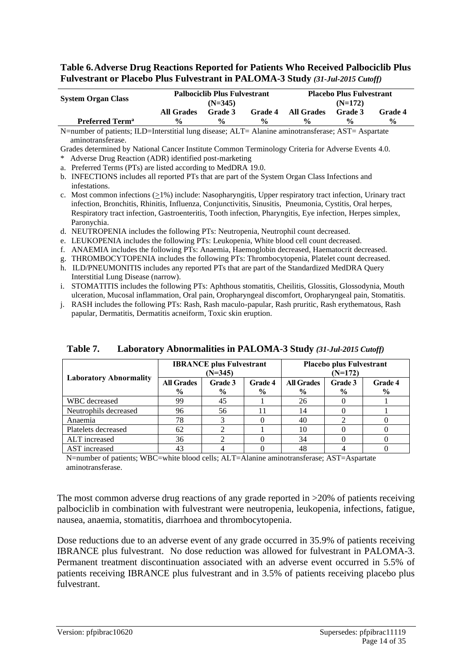**Table 6.Adverse Drug Reactions Reported for Patients Who Received Palbociclib Plus Fulvestrant or Placebo Plus Fulvestrant in PALOMA-3 Study** *(31-Jul-2015 Cutoff)*

| <b>System Organ Class</b>         | <b>Palbociclib Plus Fulvestrant</b><br>$(N=345)$ |                |                    | <b>Placebo Plus Fulvestrant</b><br>$(N=172)$ |                    |               |  |
|-----------------------------------|--------------------------------------------------|----------------|--------------------|----------------------------------------------|--------------------|---------------|--|
|                                   | All Grades                                       | <b>Grade 3</b> | <b>Grade 4</b>     | All Grades                                   | <b>Grade 3</b>     | Grade 4       |  |
| <b>Preferred Term<sup>a</sup></b> | $\frac{0}{0}$                                    | $\frac{6}{6}$  | $\frac{0}{\alpha}$ | $\frac{0}{\alpha}$                           | $\frac{0}{\alpha}$ | $\frac{0}{0}$ |  |

N=number of patients; ILD=Interstitial lung disease; ALT= Alanine aminotransferase; AST= Aspartate aminotransferase.

Grades determined by National Cancer Institute Common Terminology Criteria for Adverse Events 4.0.

\* Adverse Drug Reaction (ADR) identified post-marketing

a. Preferred Terms (PTs) are listed according to MedDRA 19.0.

- b. INFECTIONS includes all reported PTs that are part of the System Organ Class Infections and infestations.
- c. Most common infections  $(21%)$  include: Nasopharyngitis, Upper respiratory tract infection, Urinary tract infection, Bronchitis, Rhinitis, Influenza, Conjunctivitis, Sinusitis, Pneumonia, Cystitis, Oral herpes, Respiratory tract infection, Gastroenteritis, Tooth infection, Pharyngitis, Eye infection, Herpes simplex, Paronychia.
- d. NEUTROPENIA includes the following PTs: Neutropenia, Neutrophil count decreased.
- e. LEUKOPENIA includes the following PTs: Leukopenia, White blood cell count decreased.
- f. ANAEMIA includes the following PTs: Anaemia, Haemoglobin decreased, Haematocrit decreased.
- g. THROMBOCYTOPENIA includes the following PTs: Thrombocytopenia, Platelet count decreased.
- h. ILD/PNEUMONITIS includes any reported PTs that are part of the Standardized MedDRA Query Interstitial Lung Disease (narrow).
- i. STOMATITIS includes the following PTs: Aphthous stomatitis, Cheilitis, Glossitis, Glossodynia, Mouth ulceration, Mucosal inflammation, Oral pain, Oropharyngeal discomfort, Oropharyngeal pain, Stomatitis.
- j. RASH includes the following PTs: Rash, Rash maculo-papular, Rash pruritic, Rash erythematous, Rash papular, Dermatitis, Dermatitis acneiform, Toxic skin eruption.

|                               |                                    | <b>IBRANCE</b> plus Fulvestrant<br>$(N=345)$ |                          | <b>Placebo plus Fulvestrant</b><br>$(N=172)$ |                          |                          |  |
|-------------------------------|------------------------------------|----------------------------------------------|--------------------------|----------------------------------------------|--------------------------|--------------------------|--|
| <b>Laboratory Abnormality</b> | <b>All Grades</b><br>$\frac{6}{9}$ | Grade 3<br>$\frac{6}{9}$                     | Grade 4<br>$\frac{6}{9}$ | <b>All Grades</b><br>$\frac{6}{9}$           | Grade 3<br>$\frac{6}{9}$ | Grade 4<br>$\frac{6}{9}$ |  |
| WBC decreased                 | 99                                 | 45                                           |                          | 26                                           |                          |                          |  |
| Neutrophils decreased         | 96                                 | 56                                           |                          | 14                                           |                          |                          |  |
| Anaemia                       | 78                                 |                                              |                          | 40                                           |                          |                          |  |
| Platelets decreased           | 62                                 |                                              |                          | 10                                           |                          |                          |  |
| ALT increased                 | 36                                 |                                              |                          | 34                                           |                          |                          |  |
| AST increased                 | 43                                 |                                              |                          | 48                                           |                          |                          |  |

**Table 7. Laboratory Abnormalities in PALOMA-3 Study** *(31-Jul-2015 Cutoff)*

N=number of patients; WBC=white blood cells; ALT=Alanine aminotransferase; AST=Aspartate aminotransferase.

The most common adverse drug reactions of any grade reported in  $>20\%$  of patients receiving palbociclib in combination with fulvestrant were neutropenia, leukopenia, infections, fatigue, nausea, anaemia, stomatitis, diarrhoea and thrombocytopenia.

Dose reductions due to an adverse event of any grade occurred in 35.9% of patients receiving IBRANCE plus fulvestrant. No dose reduction was allowed for fulvestrant in PALOMA-3. Permanent treatment discontinuation associated with an adverse event occurred in 5.5% of patients receiving IBRANCE plus fulvestrant and in 3.5% of patients receiving placebo plus fulvestrant.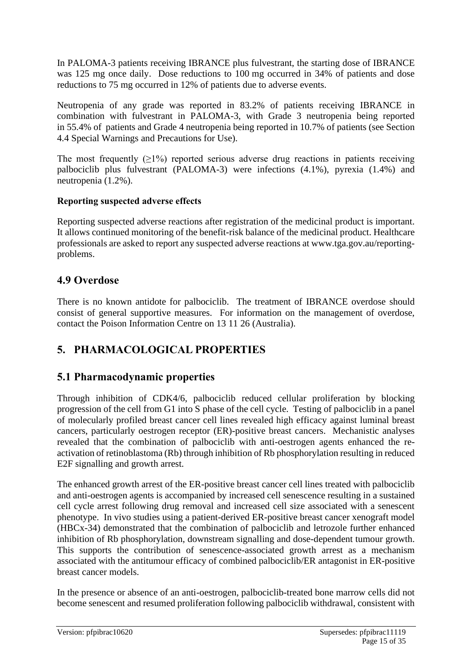In PALOMA-3 patients receiving IBRANCE plus fulvestrant, the starting dose of IBRANCE was 125 mg once daily. Dose reductions to 100 mg occurred in 34% of patients and dose reductions to 75 mg occurred in 12% of patients due to adverse events.

Neutropenia of any grade was reported in 83.2% of patients receiving IBRANCE in combination with fulvestrant in PALOMA-3, with Grade 3 neutropenia being reported in 55.4% of patients and Grade 4 neutropenia being reported in 10.7% of patients (see Section 4.4 Special Warnings and Precautions for Use).

The most frequently  $(\geq 1\%)$  reported serious adverse drug reactions in patients receiving palbociclib plus fulvestrant (PALOMA-3) were infections (4.1%), pyrexia (1.4%) and neutropenia (1.2%).

#### **Reporting suspected adverse effects**

Reporting suspected adverse reactions after registration of the medicinal product is important. It allows continued monitoring of the benefit-risk balance of the medicinal product. Healthcare professionals are asked to report any suspected adverse reactions at www.tga.gov.au/reportingproblems.

## **4.9 Overdose**

There is no known antidote for palbociclib. The treatment of IBRANCE overdose should consist of general supportive measures. For information on the management of overdose, contact the Poison Information Centre on 13 11 26 (Australia).

## **5. PHARMACOLOGICAL PROPERTIES**

## **5.1 Pharmacodynamic properties**

Through inhibition of CDK4/6, palbociclib reduced cellular proliferation by blocking progression of the cell from G1 into S phase of the cell cycle. Testing of palbociclib in a panel of molecularly profiled breast cancer cell lines revealed high efficacy against luminal breast cancers, particularly oestrogen receptor (ER)-positive breast cancers. Mechanistic analyses revealed that the combination of palbociclib with anti-oestrogen agents enhanced the reactivation of retinoblastoma (Rb) through inhibition of Rb phosphorylation resulting in reduced E2F signalling and growth arrest.

The enhanced growth arrest of the ER-positive breast cancer cell lines treated with palbociclib and anti-oestrogen agents is accompanied by increased cell senescence resulting in a sustained cell cycle arrest following drug removal and increased cell size associated with a senescent phenotype. In vivo studies using a patient-derived ER-positive breast cancer xenograft model (HBCx-34) demonstrated that the combination of palbociclib and letrozole further enhanced inhibition of Rb phosphorylation, downstream signalling and dose-dependent tumour growth. This supports the contribution of senescence-associated growth arrest as a mechanism associated with the antitumour efficacy of combined palbociclib/ER antagonist in ER-positive breast cancer models.

In the presence or absence of an anti-oestrogen, palbociclib-treated bone marrow cells did not become senescent and resumed proliferation following palbociclib withdrawal, consistent with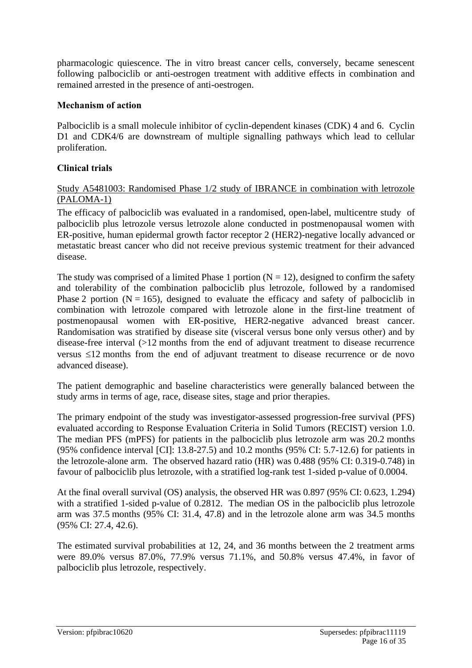pharmacologic quiescence. The in vitro breast cancer cells, conversely, became senescent following palbociclib or anti-oestrogen treatment with additive effects in combination and remained arrested in the presence of anti-oestrogen.

#### **Mechanism of action**

Palbociclib is a small molecule inhibitor of cyclin-dependent kinases (CDK) 4 and 6. Cyclin D1 and CDK4/6 are downstream of multiple signalling pathways which lead to cellular proliferation.

#### **Clinical trials**

#### Study A5481003: Randomised Phase 1/2 study of IBRANCE in combination with letrozole (PALOMA-1)

The efficacy of palbociclib was evaluated in a randomised, open-label, multicentre study of palbociclib plus letrozole versus letrozole alone conducted in postmenopausal women with ER-positive, human epidermal growth factor receptor 2 (HER2)-negative locally advanced or metastatic breast cancer who did not receive previous systemic treatment for their advanced disease.

The study was comprised of a limited Phase 1 portion  $(N = 12)$ , designed to confirm the safety and tolerability of the combination palbociclib plus letrozole, followed by a randomised Phase 2 portion ( $N = 165$ ), designed to evaluate the efficacy and safety of palbociclib in combination with letrozole compared with letrozole alone in the first-line treatment of postmenopausal women with ER-positive, HER2-negative advanced breast cancer. Randomisation was stratified by disease site (visceral versus bone only versus other) and by disease-free interval (>12 months from the end of adjuvant treatment to disease recurrence versus 12 months from the end of adjuvant treatment to disease recurrence or de novo advanced disease).

The patient demographic and baseline characteristics were generally balanced between the study arms in terms of age, race, disease sites, stage and prior therapies.

The primary endpoint of the study was investigator-assessed progression-free survival (PFS) evaluated according to Response Evaluation Criteria in Solid Tumors (RECIST) version 1.0. The median PFS (mPFS) for patients in the palbociclib plus letrozole arm was 20.2 months (95% confidence interval [CI]: 13.8-27.5) and 10.2 months (95% CI: 5.7-12.6) for patients in the letrozole-alone arm. The observed hazard ratio (HR) was 0.488 (95% CI: 0.319-0.748) in favour of palbociclib plus letrozole, with a stratified log-rank test 1-sided p-value of 0.0004.

At the final overall survival (OS) analysis, the observed HR was 0.897 (95% CI: 0.623, 1.294) with a stratified 1-sided p-value of 0.2812. The median OS in the palbociclib plus letrozole arm was 37.5 months (95% CI: 31.4, 47.8) and in the letrozole alone arm was 34.5 months (95% CI: 27.4, 42.6).

The estimated survival probabilities at 12, 24, and 36 months between the 2 treatment arms were 89.0% versus 87.0%, 77.9% versus 71.1%, and 50.8% versus 47.4%, in favor of palbociclib plus letrozole, respectively.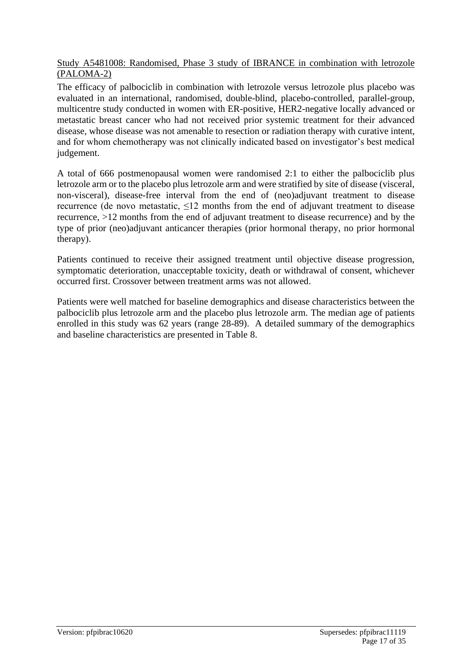#### Study A5481008: Randomised, Phase 3 study of IBRANCE in combination with letrozole (PALOMA-2)

The efficacy of palbociclib in combination with letrozole versus letrozole plus placebo was evaluated in an international, randomised, double-blind, placebo-controlled, parallel-group, multicentre study conducted in women with ER-positive, HER2-negative locally advanced or metastatic breast cancer who had not received prior systemic treatment for their advanced disease, whose disease was not amenable to resection or radiation therapy with curative intent, and for whom chemotherapy was not clinically indicated based on investigator's best medical judgement.

A total of 666 postmenopausal women were randomised 2:1 to either the palbociclib plus letrozole arm or to the placebo plus letrozole arm and were stratified by site of disease (visceral, non-visceral), disease-free interval from the end of (neo)adjuvant treatment to disease recurrence (de novo metastatic,  $\leq 12$  months from the end of adjuvant treatment to disease recurrence, >12 months from the end of adjuvant treatment to disease recurrence) and by the type of prior (neo)adjuvant anticancer therapies (prior hormonal therapy, no prior hormonal therapy).

Patients continued to receive their assigned treatment until objective disease progression, symptomatic deterioration, unacceptable toxicity, death or withdrawal of consent, whichever occurred first. Crossover between treatment arms was not allowed.

Patients were well matched for baseline demographics and disease characteristics between the palbociclib plus letrozole arm and the placebo plus letrozole arm. The median age of patients enrolled in this study was 62 years (range 28-89). A detailed summary of the demographics and baseline characteristics are presented in Table 8.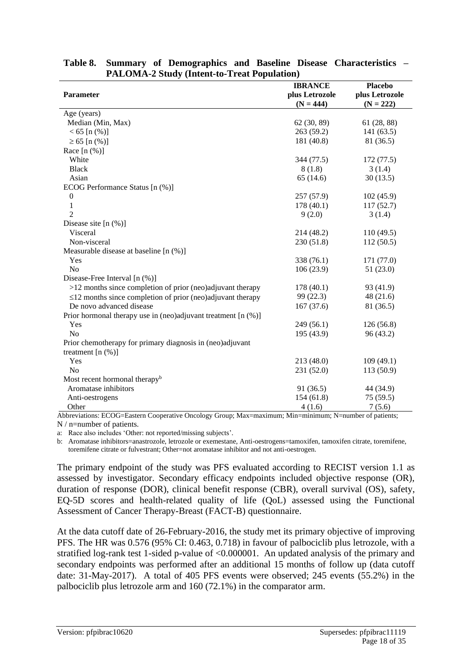|           | <b>Placebo</b>                                                                                                                                                                                                                                                                                            |
|-----------|-----------------------------------------------------------------------------------------------------------------------------------------------------------------------------------------------------------------------------------------------------------------------------------------------------------|
|           |                                                                                                                                                                                                                                                                                                           |
|           | plus Letrozole                                                                                                                                                                                                                                                                                            |
|           | $(N = 222)$                                                                                                                                                                                                                                                                                               |
|           |                                                                                                                                                                                                                                                                                                           |
|           | 61 (28, 88)                                                                                                                                                                                                                                                                                               |
|           | 141(63.5)                                                                                                                                                                                                                                                                                                 |
|           | 81 (36.5)                                                                                                                                                                                                                                                                                                 |
|           |                                                                                                                                                                                                                                                                                                           |
|           | 172(77.5)                                                                                                                                                                                                                                                                                                 |
|           | 3(1.4)                                                                                                                                                                                                                                                                                                    |
| 65(14.6)  | 30(13.5)                                                                                                                                                                                                                                                                                                  |
|           |                                                                                                                                                                                                                                                                                                           |
| 257(57.9) | 102(45.9)                                                                                                                                                                                                                                                                                                 |
| 178(40.1) | 117(52.7)                                                                                                                                                                                                                                                                                                 |
| 9(2.0)    | 3(1.4)                                                                                                                                                                                                                                                                                                    |
|           |                                                                                                                                                                                                                                                                                                           |
|           | 110(49.5)                                                                                                                                                                                                                                                                                                 |
|           | 112(50.5)                                                                                                                                                                                                                                                                                                 |
|           |                                                                                                                                                                                                                                                                                                           |
|           | 171 (77.0)                                                                                                                                                                                                                                                                                                |
|           | 51(23.0)                                                                                                                                                                                                                                                                                                  |
|           |                                                                                                                                                                                                                                                                                                           |
|           | 93 (41.9)                                                                                                                                                                                                                                                                                                 |
|           | 48(21.6)                                                                                                                                                                                                                                                                                                  |
|           | 81 (36.5)                                                                                                                                                                                                                                                                                                 |
|           |                                                                                                                                                                                                                                                                                                           |
|           | 126(56.8)                                                                                                                                                                                                                                                                                                 |
|           | 96 (43.2)                                                                                                                                                                                                                                                                                                 |
|           |                                                                                                                                                                                                                                                                                                           |
|           |                                                                                                                                                                                                                                                                                                           |
|           | 109(49.1)                                                                                                                                                                                                                                                                                                 |
|           | 113(50.9)                                                                                                                                                                                                                                                                                                 |
|           |                                                                                                                                                                                                                                                                                                           |
|           | 44 (34.9)                                                                                                                                                                                                                                                                                                 |
|           | 75(59.5)                                                                                                                                                                                                                                                                                                  |
|           | 7(5.6)                                                                                                                                                                                                                                                                                                    |
|           | <b>IBRANCE</b><br>plus Letrozole<br>$(N = 444)$<br>62 (30, 89)<br>263(59.2)<br>181 (40.8)<br>344 (77.5)<br>8(1.8)<br>214 (48.2)<br>230 (51.8)<br>338 (76.1)<br>106(23.9)<br>178(40.1)<br>99(22.3)<br>167(37.6)<br>249(56.1)<br>195 (43.9)<br>213 (48.0)<br>231 (52.0)<br>91 (36.5)<br>154(61.8)<br>4(1.6) |

|                                                    |  |  |  |  |  | Table 8. Summary of Demographics and Baseline Disease Characteristics – |  |
|----------------------------------------------------|--|--|--|--|--|-------------------------------------------------------------------------|--|
| <b>PALOMA-2 Study (Intent-to-Treat Population)</b> |  |  |  |  |  |                                                                         |  |

Abbreviations: ECOG=Eastern Cooperative Oncology Group; Max=maximum; Min=minimum; N=number of patients; N / n=number of patients.

a: Race also includes 'Other: not reported/missing subjects'.

b: Aromatase inhibitors=anastrozole, letrozole or exemestane, Anti-oestrogens=tamoxifen, tamoxifen citrate, toremifene, toremifene citrate or fulvestrant; Other=not aromatase inhibitor and not anti-oestrogen.

The primary endpoint of the study was PFS evaluated according to RECIST version 1.1 as assessed by investigator. Secondary efficacy endpoints included objective response (OR), duration of response (DOR), clinical benefit response (CBR), overall survival (OS), safety, EQ-5D scores and health-related quality of life (QoL) assessed using the Functional Assessment of Cancer Therapy-Breast (FACT-B) questionnaire.

At the data cutoff date of 26-February-2016, the study met its primary objective of improving PFS. The HR was 0.576 (95% CI: 0.463, 0.718) in favour of palbociclib plus letrozole, with a stratified log-rank test 1-sided p-value of <0.000001. An updated analysis of the primary and secondary endpoints was performed after an additional 15 months of follow up (data cutoff date: 31-May-2017). A total of 405 PFS events were observed; 245 events (55.2%) in the palbociclib plus letrozole arm and 160 (72.1%) in the comparator arm.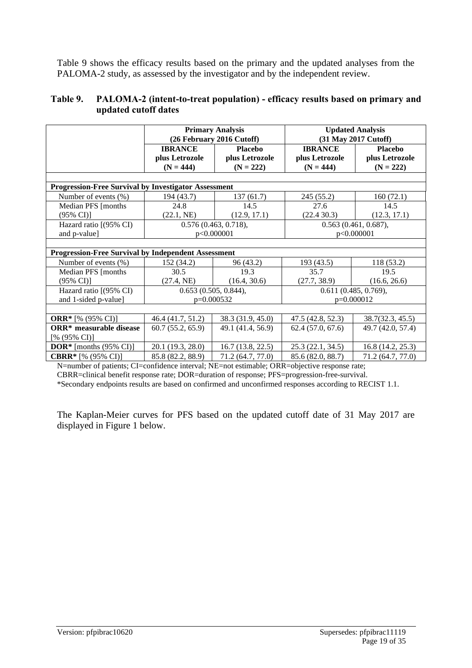Table 9 shows the efficacy results based on the primary and the updated analyses from the PALOMA-2 study, as assessed by the investigator and by the independent review.

#### **Table 9. PALOMA-2 (intent-to-treat population) - efficacy results based on primary and updated cutoff dates**

|                                                             | <b>Primary Analysis</b><br>(26 February 2016 Cutoff) |                                                 | <b>Updated Analysis</b><br>(31 May 2017 Cutoff) |                                                 |
|-------------------------------------------------------------|------------------------------------------------------|-------------------------------------------------|-------------------------------------------------|-------------------------------------------------|
|                                                             | <b>IBRANCE</b><br>plus Letrozole<br>$(N = 444)$      | <b>Placebo</b><br>plus Letrozole<br>$(N = 222)$ | <b>IBRANCE</b><br>plus Letrozole<br>$(N = 444)$ | <b>Placebo</b><br>plus Letrozole<br>$(N = 222)$ |
|                                                             |                                                      |                                                 |                                                 |                                                 |
| <b>Progression-Free Survival by Investigator Assessment</b> |                                                      |                                                 |                                                 |                                                 |
| Number of events (%)                                        | 194 (43.7)                                           | 137(61.7)                                       | 245 (55.2)                                      | 160(72.1)                                       |
| Median PFS [months]                                         | 24.8                                                 | 14.5                                            | 27.6                                            | 14.5                                            |
| $(95\% \text{ CI})$                                         | (22.1, NE)                                           | (12.9, 17.1)                                    | (22.4 30.3)                                     | (12.3, 17.1)                                    |
| Hazard ratio [(95% CI)                                      | 0.576(0.463, 0.718),                                 |                                                 | $0.563$ (0.461, 0.687),                         |                                                 |
| and p-value]                                                |                                                      | p<0.000001                                      | p<0.000001                                      |                                                 |
|                                                             |                                                      |                                                 |                                                 |                                                 |
| <b>Progression-Free Survival by Independent Assessment</b>  |                                                      |                                                 |                                                 |                                                 |
| Number of events (%)                                        | 152 (34.2)                                           | 96 (43.2)                                       | 193(43.5)                                       | 118 (53.2)                                      |
| Median PFS [months                                          | 30.5                                                 | 19.3                                            | 35.7                                            | 19.5                                            |
| $(95\% \text{ CI})$                                         | (27.4, NE)                                           | (16.4, 30.6)                                    | (27.7, 38.9)                                    | (16.6, 26.6)                                    |
| Hazard ratio [(95% CI)                                      | 0.653(0.505, 0.844),                                 |                                                 | 0.611(0.485, 0.769),                            |                                                 |
| and 1-sided p-value]                                        | $p=0.000532$                                         |                                                 | p=0.000012                                      |                                                 |
|                                                             |                                                      |                                                 |                                                 |                                                 |
| <b>ORR*</b> [% (95% CI)]                                    | 46.4 (41.7, 51.2)                                    | 38.3 (31.9, 45.0)                               | 47.5(42.8, 52.3)                                | 38.7(32.3, 45.5)                                |
| <b>ORR*</b> measurable disease                              | 60.7(55.2, 65.9)                                     | 49.1 (41.4, 56.9)                               | 62.4(57.0, 67.6)                                | 49.7 (42.0, 57.4)                               |
| [% $(95\% \text{ CI})$ ]                                    |                                                      |                                                 |                                                 |                                                 |
| <b>DOR*</b> [months $(95\% \text{ CI})$ ]                   | 20.1 (19.3, 28.0)                                    | 16.7(13.8, 22.5)                                | 25.3(22.1, 34.5)                                | 16.8(14.2, 25.3)                                |
| <b>CBRR*</b> [% (95% CI)]                                   | 85.8 (82.2, 88.9)                                    | 71.2 (64.7, 77.0)                               | 85.6 (82.0, 88.7)                               | 71.2 (64.7, 77.0)                               |

N=number of patients; CI=confidence interval; NE=not estimable; ORR=objective response rate; CBRR=clinical benefit response rate; DOR=duration of response; PFS=progression-free-survival. \*Secondary endpoints results are based on confirmed and unconfirmed responses according to RECIST 1.1.

The Kaplan-Meier curves for PFS based on the updated cutoff date of 31 May 2017 are displayed in Figure 1 below.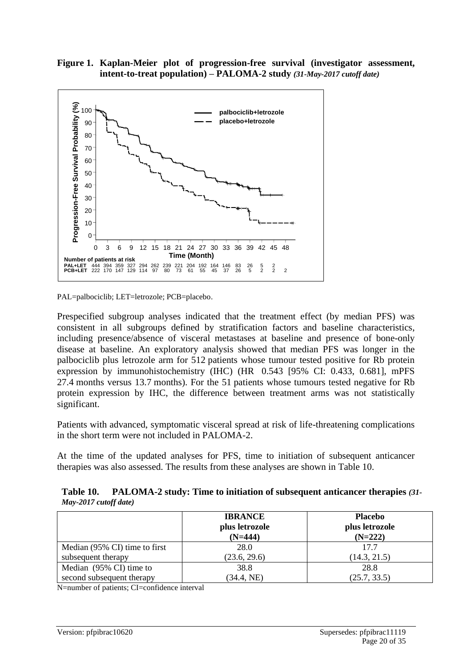



PAL=palbociclib; LET=letrozole; PCB=placebo.

Prespecified subgroup analyses indicated that the treatment effect (by median PFS) was consistent in all subgroups defined by stratification factors and baseline characteristics, including presence/absence of visceral metastases at baseline and presence of bone-only disease at baseline. An exploratory analysis showed that median PFS was longer in the palbociclib plus letrozole arm for 512 patients whose tumour tested positive for Rb protein expression by immunohistochemistry (IHC) (HR 0.543 [95% CI: 0.433, 0.681], mPFS 27.4 months versus 13.7 months). For the 51 patients whose tumours tested negative for Rb protein expression by IHC, the difference between treatment arms was not statistically significant.

Patients with advanced, symptomatic visceral spread at risk of life-threatening complications in the short term were not included in PALOMA-2.

At the time of the updated analyses for PFS, time to initiation of subsequent anticancer therapies was also assessed. The results from these analyses are shown in Table 10.

**Table 10. PALOMA-2 study: Time to initiation of subsequent anticancer therapies** *(31- May-2017 cutoff date)*

|                               | <b>IBRANCE</b><br>plus letrozole<br>$(N=444)$ | <b>Placebo</b><br>plus letrozole<br>$(N=222)$ |
|-------------------------------|-----------------------------------------------|-----------------------------------------------|
| Median (95% CI) time to first | 28.0                                          | 17.7                                          |
| subsequent therapy            | (23.6, 29.6)                                  | (14.3, 21.5)                                  |
| Median (95% CI) time to       | 38.8                                          | 28.8                                          |
| second subsequent therapy     | (34.4, NE)                                    | (25.7, 33.5)                                  |

N=number of patients; CI=confidence interval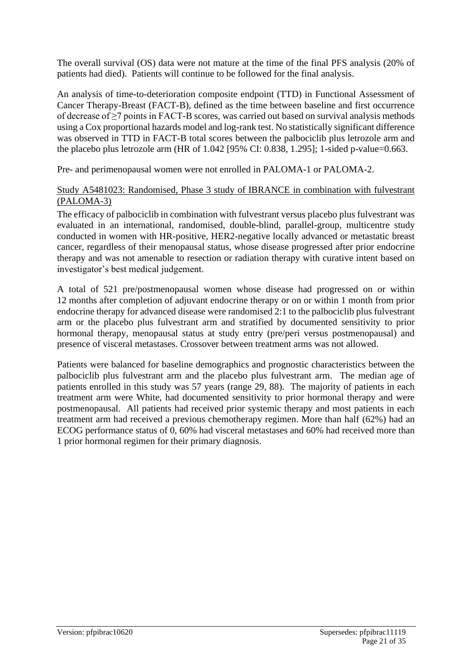The overall survival (OS) data were not mature at the time of the final PFS analysis (20% of patients had died). Patients will continue to be followed for the final analysis.

An analysis of time-to-deterioration composite endpoint (TTD) in Functional Assessment of Cancer Therapy-Breast (FACT-B), defined as the time between baseline and first occurrence of decrease of ≥7 points in FACT-B scores, was carried out based on survival analysis methods using a Cox proportional hazards model and log-rank test. No statistically significant difference was observed in TTD in FACT-B total scores between the palbociclib plus letrozole arm and the placebo plus letrozole arm (HR of 1.042 [95% CI: 0.838, 1.295]; 1-sided p-value=0.663.

Pre- and perimenopausal women were not enrolled in PALOMA-1 or PALOMA-2.

#### Study A5481023: Randomised, Phase 3 study of IBRANCE in combination with fulvestrant (PALOMA-3)

The efficacy of palbociclib in combination with fulvestrant versus placebo plus fulvestrant was evaluated in an international, randomised, double-blind, parallel-group, multicentre study conducted in women with HR-positive, HER2-negative locally advanced or metastatic breast cancer, regardless of their menopausal status, whose disease progressed after prior endocrine therapy and was not amenable to resection or radiation therapy with curative intent based on investigator's best medical judgement.

A total of 521 pre/postmenopausal women whose disease had progressed on or within 12 months after completion of adjuvant endocrine therapy or on or within 1 month from prior endocrine therapy for advanced disease were randomised 2:1 to the palbociclib plus fulvestrant arm or the placebo plus fulvestrant arm and stratified by documented sensitivity to prior hormonal therapy, menopausal status at study entry (pre/peri versus postmenopausal) and presence of visceral metastases. Crossover between treatment arms was not allowed.

Patients were balanced for baseline demographics and prognostic characteristics between the palbociclib plus fulvestrant arm and the placebo plus fulvestrant arm. The median age of patients enrolled in this study was 57 years (range 29, 88). The majority of patients in each treatment arm were White, had documented sensitivity to prior hormonal therapy and were postmenopausal. All patients had received prior systemic therapy and most patients in each treatment arm had received a previous chemotherapy regimen. More than half (62%) had an ECOG performance status of 0, 60% had visceral metastases and 60% had received more than 1 prior hormonal regimen for their primary diagnosis.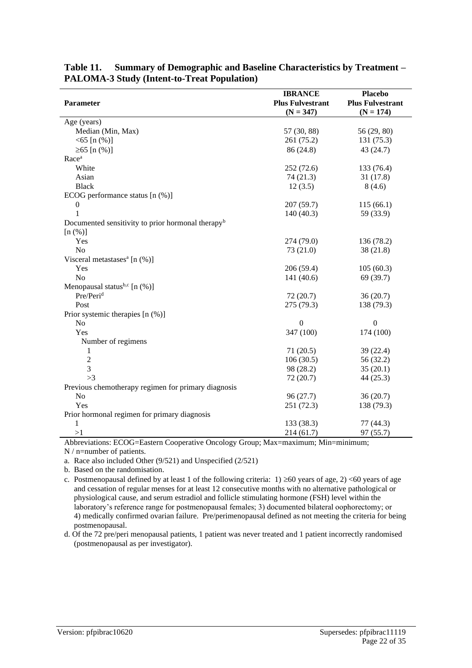| Parameter                                                     | <b>IBRANCE</b><br><b>Plus Fulvestrant</b><br>$(N = 347)$ | <b>Placebo</b><br><b>Plus Fulvestrant</b><br>$(N = 174)$ |
|---------------------------------------------------------------|----------------------------------------------------------|----------------------------------------------------------|
|                                                               |                                                          |                                                          |
| Age (years)<br>Median (Min, Max)                              | 57 (30, 88)                                              | 56 (29, 80)                                              |
| $<$ 65 [n $(\%)$ ]                                            | 261(75.2)                                                | 131(75.3)                                                |
|                                                               |                                                          | 43(24.7)                                                 |
| $≥65$ [n $(%$ )]<br>Race <sup>a</sup>                         | 86 (24.8)                                                |                                                          |
| White                                                         | 252(72.6)                                                | 133 (76.4)                                               |
|                                                               |                                                          |                                                          |
| Asian<br><b>Black</b>                                         | 74(21.3)<br>12(3.5)                                      | 31(17.8)<br>8(4.6)                                       |
| ECOG performance status [n (%)]                               |                                                          |                                                          |
| $\boldsymbol{0}$                                              | 207(59.7)                                                | 115(66.1)                                                |
| $\mathbf{1}$                                                  | 140(40.3)                                                | 59 (33.9)                                                |
| Documented sensitivity to prior hormonal therapy <sup>b</sup> |                                                          |                                                          |
| [n (%)]                                                       |                                                          |                                                          |
| Yes                                                           | 274 (79.0)                                               | 136 (78.2)                                               |
| N <sub>o</sub>                                                | 73(21.0)                                                 | 38(21.8)                                                 |
| Visceral metastases <sup>a</sup> [n $(\%)$ ]                  |                                                          |                                                          |
| Yes                                                           | 206(59.4)                                                | 105(60.3)                                                |
| No                                                            | 141(40.6)                                                | 69 (39.7)                                                |
| Menopausal status <sup>b,c</sup> [n $(\%)$ ]                  |                                                          |                                                          |
| Pre/Peri <sup>d</sup>                                         | 72(20.7)                                                 | 36(20.7)                                                 |
| Post                                                          | 275 (79.3)                                               | 138 (79.3)                                               |
| Prior systemic therapies [n (%)]                              |                                                          |                                                          |
| No                                                            | $\boldsymbol{0}$                                         | $\boldsymbol{0}$                                         |
| Yes                                                           | 347 (100)                                                | 174 (100)                                                |
| Number of regimens                                            |                                                          |                                                          |
| $\mathbf{1}$                                                  | 71(20.5)                                                 | 39(22.4)                                                 |
| $\overline{c}$                                                | 106(30.5)                                                | 56 (32.2)                                                |
| $\overline{3}$                                                | 98 (28.2)                                                | 35(20.1)                                                 |
| >3                                                            | 72(20.7)                                                 | 44(25.3)                                                 |
| Previous chemotherapy regimen for primary diagnosis           |                                                          |                                                          |
| No                                                            | 96(27.7)                                                 | 36(20.7)                                                 |
| Yes                                                           | 251(72.3)                                                | 138 (79.3)                                               |
| Prior hormonal regimen for primary diagnosis                  |                                                          |                                                          |
| $\mathbf{1}$                                                  | 133 (38.3)                                               | 77 (44.3)                                                |
| >1                                                            | 214(61.7)                                                | 97(55.7)                                                 |

**Table 11. Summary of Demographic and Baseline Characteristics by Treatment – PALOMA-3 Study (Intent-to-Treat Population)**

Abbreviations: ECOG=Eastern Cooperative Oncology Group; Max=maximum; Min=minimum;

N / n=number of patients.

a. Race also included Other (9/521) and Unspecified (2/521)

b. Based on the randomisation.

c. Postmenopausal defined by at least 1 of the following criteria:  $1) \ge 60$  years of age, 2) <60 years of age and cessation of regular menses for at least 12 consecutive months with no alternative pathological or physiological cause, and serum estradiol and follicle stimulating hormone (FSH) level within the laboratory's reference range for postmenopausal females; 3) documented bilateral oophorectomy; or 4) medically confirmed ovarian failure. Pre/perimenopausal defined as not meeting the criteria for being postmenopausal.

d. Of the 72 pre/peri menopausal patients, 1 patient was never treated and 1 patient incorrectly randomised (postmenopausal as per investigator).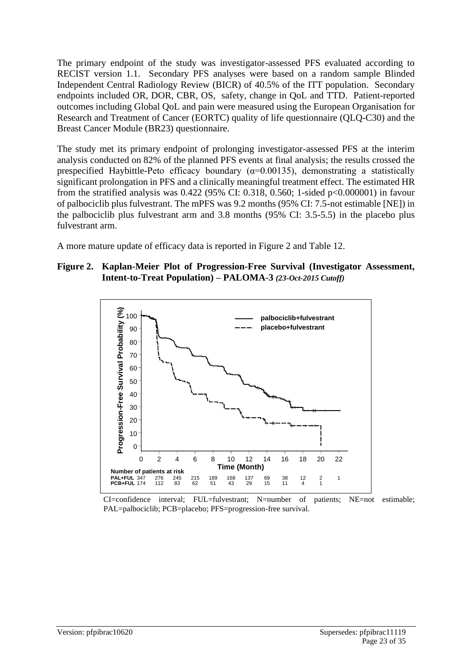The primary endpoint of the study was investigator-assessed PFS evaluated according to RECIST version 1.1. Secondary PFS analyses were based on a random sample Blinded Independent Central Radiology Review (BICR) of 40.5% of the ITT population. Secondary endpoints included OR, DOR, CBR, OS, safety, change in QoL and TTD. Patient-reported outcomes including Global QoL and pain were measured using the European Organisation for Research and Treatment of Cancer (EORTC) quality of life questionnaire (QLQ-C30) and the Breast Cancer Module (BR23) questionnaire.

The study met its primary endpoint of prolonging investigator-assessed PFS at the interim analysis conducted on 82% of the planned PFS events at final analysis; the results crossed the prespecified Haybittle-Peto efficacy boundary ( $\alpha$ =0.00135), demonstrating a statistically significant prolongation in PFS and a clinically meaningful treatment effect. The estimated HR from the stratified analysis was 0.422 (95% CI: 0.318, 0.560; 1-sided p<0.000001) in favour of palbociclib plus fulvestrant. The mPFS was 9.2 months (95% CI: 7.5-not estimable [NE]) in the palbociclib plus fulvestrant arm and 3.8 months (95% CI: 3.5-5.5) in the placebo plus fulvestrant arm.

A more mature update of efficacy data is reported in Figure 2 and Table 12.

#### **Figure 2. Kaplan-Meier Plot of Progression-Free Survival (Investigator Assessment, Intent-to-Treat Population) – PALOMA-3** *(23-Oct-2015 Cutoff)*



CI=confidence interval; FUL=fulvestrant; N=number of patients; NE=not estimable; PAL=palbociclib; PCB=placebo; PFS=progression-free survival.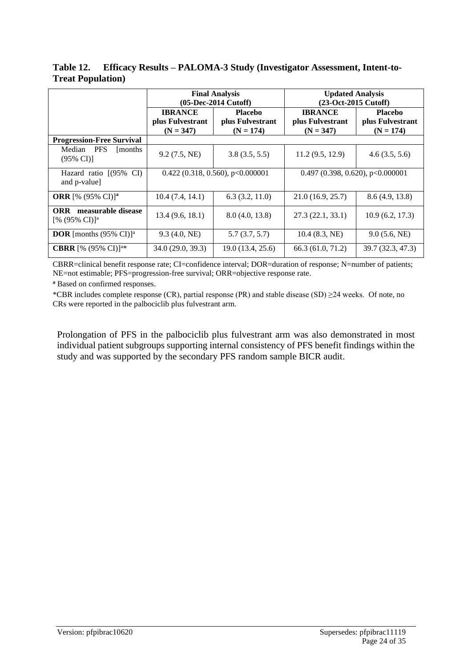**Table 12. Efficacy Results – PALOMA-3 Study (Investigator Assessment, Intent-to-Treat Population)**

|                                                       | <b>Final Analysis</b><br>(05-Dec-2014 Cutoff)     |                                                   | <b>Updated Analysis</b><br>(23-Oct-2015 Cutoff)   |                                                   |
|-------------------------------------------------------|---------------------------------------------------|---------------------------------------------------|---------------------------------------------------|---------------------------------------------------|
|                                                       | <b>IBRANCE</b><br>plus Fulvestrant<br>$(N = 347)$ | <b>Placebo</b><br>plus Fulvestrant<br>$(N = 174)$ | <b>IBRANCE</b><br>plus Fulvestrant<br>$(N = 347)$ | <b>Placebo</b><br>plus Fulvestrant<br>$(N = 174)$ |
| <b>Progression-Free Survival</b>                      |                                                   |                                                   |                                                   |                                                   |
| Median PFS<br>[months]<br>$(95\% \text{ CI})$         | 9.2(7.5, NE)                                      | 3.8(3.5, 5.5)                                     | 11.2(9.5, 12.9)                                   | 4.6(3.5, 5.6)                                     |
| Hazard ratio $(95\% \text{ CI})$<br>and p-value]      | $0.422$ (0.318, 0.560), p<0.000001                |                                                   | $0.497$ (0.398, 0.620), p<0.000001                |                                                   |
| <b>ORR</b> [% $(95\% \text{ CI})$ ] <sup>a</sup>      | 10.4(7.4, 14.1)                                   | 6.3(3.2, 11.0)                                    | 21.0(16.9, 25.7)                                  | 8.6(4.9, 13.8)                                    |
| measurable disease<br><b>ORR</b><br>$[% (95\% CI)]^a$ | 13.4(9.6, 18.1)                                   | 8.0(4.0, 13.8)                                    | 27.3(22.1, 33.1)                                  | 10.9(6.2, 17.3)                                   |
| <b>DOR</b> [months $(95\% \text{ CI})^a$ ]            | 9.3(4.0, NE)                                      | 5.7(3.7, 5.7)                                     | $10.4$ (8.3, NE)                                  | 9.0(5.6, NE)                                      |
| <b>CBRR</b> [% $(95\% \text{ CI})$ ] <sup>a*</sup>    | 34.0 (29.0, 39.3)                                 | 19.0 (13.4, 25.6)                                 | 66.3 (61.0, 71.2)                                 | 39.7 (32.3, 47.3)                                 |

CBRR=clinical benefit response rate; CI=confidence interval; DOR=duration of response; N=number of patients; NE=not estimable; PFS=progression-free survival; ORR=objective response rate.

**<sup>a</sup>** Based on confirmed responses.

\*CBR includes complete response (CR), partial response (PR) and stable disease (SD) ≥24 weeks. Of note, no CRs were reported in the palbociclib plus fulvestrant arm.

Prolongation of PFS in the palbociclib plus fulvestrant arm was also demonstrated in most individual patient subgroups supporting internal consistency of PFS benefit findings within the study and was supported by the secondary PFS random sample BICR audit.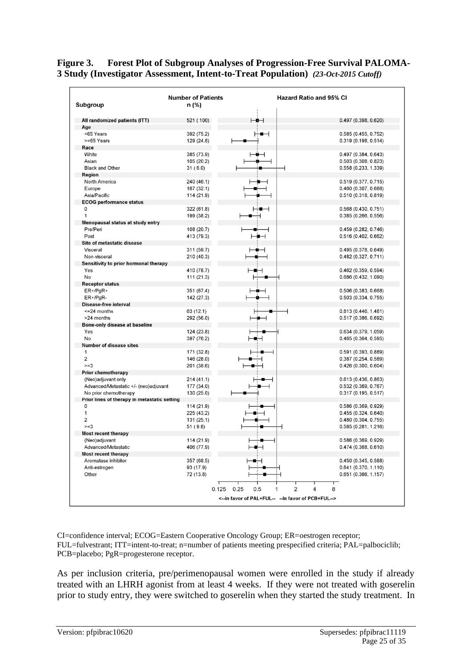| Subgroup                                     | <b>Number of Patients</b><br>n (%) |                       | <b>Hazard Ratio and 95% CI</b> |
|----------------------------------------------|------------------------------------|-----------------------|--------------------------------|
| All randomized patients (ITT)                | 521 (100)                          | ⊢∎⊣                   | 0.497 (0.398, 0.620)           |
| Age                                          |                                    |                       |                                |
| <65 Years                                    | 392 (75.2)                         | ⊹.                    | 0.585 (0.455, 0.752)           |
| >=65 Years                                   | 129 (24.8)                         |                       | 0.319 (0.198, 0.514)           |
| Race                                         |                                    |                       |                                |
| White                                        | 385 (73.9)                         |                       | 0.497 (0.384, 0.643)           |
| Asian                                        | 105 (20.2)                         |                       | 0.503 (0.308, 0.823)           |
| <b>Black and Other</b>                       | 31(6.0)                            |                       | 0.558 (0.233, 1.339)           |
| Region                                       |                                    |                       |                                |
| North America                                | 240 (46.1)                         |                       | 0.519 (0.377, 0.715)           |
| Europe                                       | 167 (32.1)                         |                       | 0.460 (0.307, 0.688)           |
| Asia/Pacific                                 | 114 (21.9)                         |                       | 0.510 (0.318, 0.819)           |
| <b>ECOG performance status</b>               |                                    |                       |                                |
| $\mathbf 0$                                  |                                    |                       |                                |
|                                              | 322 (61.8)                         |                       | 0.568 (0.430, 0.751)           |
| $\mathbf{1}$                                 | 199 (38.2)                         |                       | 0.385 (0.266, 0.556)           |
| Menopausal status at study entry             |                                    |                       |                                |
| Pre/Peri                                     | 108 (20.7)                         |                       | 0.459 (0.282, 0.746)           |
| Post                                         | 413 (79.3)                         | ⊢∎⊣                   | 0.516 (0.402, 0.662)           |
| Site of metastatic disease                   |                                    |                       |                                |
| Visceral                                     | 311 (59.7)                         | ⊢⊕⊣                   | 0.495 (0.378, 0.649)           |
| Non-visceral                                 | 210 (40.3)                         | ╺                     | 0.482 (0.327, 0.711)           |
| Sensitivity to prior hormonal therapy        |                                    |                       |                                |
| Yes                                          | 410 (78.7)                         | ⊢∎⊣                   | $0.462$ (0.359, 0.594)         |
| No                                           | 111 (21.3)                         |                       | 0.686 (0.432, 1.090)           |
| <b>Receptor status</b>                       |                                    |                       |                                |
| $ER+/PgR+$                                   | 351 (67.4)                         | $\bullet$             | 0.506 (0.383, 0.668)           |
| $ER+/PgR-$                                   | 142 (27.3)                         |                       | 0.503(0.334, 0.755)            |
| Disease-free interval                        |                                    |                       |                                |
| $\leq$ 24 months                             | 63 (12.1)                          |                       | 0.813 (0.446, 1.481)           |
| >24 months                                   | 292 (56.0)                         | ▬⊣                    | 0.517 (0.386, 0.692)           |
| Bone-only disease at baseline                |                                    |                       |                                |
| Yes                                          | 124 (23.8)                         |                       | 0.634 (0.379, 1.059)           |
| No                                           | 397 (76.2)                         |                       | 0.465 (0.364, 0.595)           |
| <b>Number of disease sites</b>               |                                    |                       |                                |
| $\mathbf{1}$                                 | 171 (32.8)                         |                       | 0.591 (0.393, 0.889)           |
| 2                                            | 146 (28.0)                         |                       | 0.387 (0.254, 0.589)           |
| $>=3$                                        | 201 (38.6)                         |                       | 0.426 (0.300, 0.604)           |
| <b>Prior chemotherapy</b>                    |                                    |                       |                                |
| (Neo)adjuvant only                           | 214(41.1)                          |                       | 0.613 (0.436, 0.863)           |
| Advanced/Metastatic +/- (neo)adjuvant        | 177 (34.0)                         |                       | 0.532 (0.369, 0.767)           |
| No prior chemotherapy                        | 130 (25.0)                         |                       | 0.317 (0.195, 0.517)           |
| Prior lines of therapy in metastatic setting |                                    |                       |                                |
| $\mathbf 0$                                  | 114 (21.9)                         |                       | 0.586 (0.369, 0.929)           |
| $\mathbf{1}$                                 | 225 (43.2)                         |                       | 0.455(0.324, 0.640)            |
| $\overline{2}$                               | 131 (25.1)                         |                       | 0.480 (0.304, 0.755)           |
| $>=3$                                        | 51 (9.8)                           |                       | 0.585 (0.281, 1.216)           |
| <b>Most recent therapy</b>                   |                                    |                       |                                |
| (Neo)adjuvant                                | 114 (21.9)                         |                       | 0.586 (0.369, 0.929)           |
| Advanced/Metastatic                          | 406 (77.9)                         |                       |                                |
| <b>Most recent therapy</b>                   |                                    |                       | 0.474 (0.368, 0.610)           |
| Aromatase inhibitor                          |                                    | ⊢∎∺                   |                                |
|                                              | 357 (68.5)                         |                       | 0.450 (0.345, 0.588)           |
| Anti-estrogen                                | 93 (17.9)                          |                       | 0.641 (0.370, 1.110)           |
| Other                                        | 72 (13.8)                          |                       | 0.651 (0.366, 1.157)           |
|                                              |                                    |                       |                                |
|                                              | 0.125                              | 0.25<br>2<br>0.5<br>1 | 8<br>4                         |

#### **Figure 3. Forest Plot of Subgroup Analyses of Progression-Free Survival PALOMA-3 Study (Investigator Assessment, Intent-to-Treat Population)** *(23-Oct-2015 Cutoff)*

CI=confidence interval; ECOG=Eastern Cooperative Oncology Group; ER=oestrogen receptor; FUL=fulvestrant; ITT=intent-to-treat; n=number of patients meeting prespecified criteria; PAL=palbociclib; PCB=placebo; PgR=progesterone receptor.

As per inclusion criteria, pre/perimenopausal women were enrolled in the study if already treated with an LHRH agonist from at least 4 weeks. If they were not treated with goserelin prior to study entry, they were switched to goserelin when they started the study treatment. In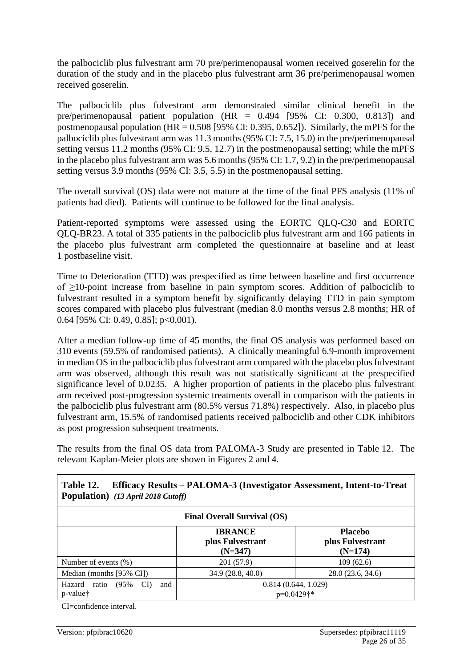the palbociclib plus fulvestrant arm 70 pre/perimenopausal women received goserelin for the duration of the study and in the placebo plus fulvestrant arm 36 pre/perimenopausal women received goserelin.

The palbociclib plus fulvestrant arm demonstrated similar clinical benefit in the pre/perimenopausal patient population (HR = 0.494 [95% CI: 0.300, 0.813]) and postmenopausal population (HR =  $0.508$  [95% CI: 0.395, 0.652]). Similarly, the mPFS for the palbociclib plus fulvestrant arm was 11.3 months (95% CI: 7.5, 15.0) in the pre/perimenopausal setting versus 11.2 months (95% CI: 9.5, 12.7) in the postmenopausal setting; while the mPFS in the placebo plus fulvestrant arm was 5.6 months (95% CI: 1.7, 9.2) in the pre/perimenopausal setting versus 3.9 months (95% CI: 3.5, 5.5) in the postmenopausal setting.

The overall survival (OS) data were not mature at the time of the final PFS analysis (11% of patients had died). Patients will continue to be followed for the final analysis.

Patient-reported symptoms were assessed using the EORTC QLQ-C30 and EORTC QLQ-BR23. A total of 335 patients in the palbociclib plus fulvestrant arm and 166 patients in the placebo plus fulvestrant arm completed the questionnaire at baseline and at least 1 postbaseline visit.

Time to Deterioration (TTD) was prespecified as time between baseline and first occurrence of ≥10-point increase from baseline in pain symptom scores. Addition of palbociclib to fulvestrant resulted in a symptom benefit by significantly delaying TTD in pain symptom scores compared with placebo plus fulvestrant (median 8.0 months versus 2.8 months; HR of 0.64 [95% CI: 0.49, 0.85]; p<0.001).

After a median follow-up time of 45 months, the final OS analysis was performed based on 310 events (59.5% of randomised patients). A clinically meaningful 6.9-month improvement in median OS in the palbociclib plus fulvestrant arm compared with the placebo plus fulvestrant arm was observed, although this result was not statistically significant at the prespecified significance level of 0.0235. A higher proportion of patients in the placebo plus fulvestrant arm received post-progression systemic treatments overall in comparison with the patients in the palbociclib plus fulvestrant arm (80.5% versus 71.8%) respectively. Also, in placebo plus fulvestrant arm, 15.5% of randomised patients received palbociclib and other CDK inhibitors as post progression subsequent treatments.

The results from the final OS data from PALOMA-3 Study are presented in Table 12. The relevant Kaplan-Meier plots are shown in Figures 2 and 4.

| Table 12.<br>Efficacy Results - PALOMA-3 (Investigator Assessment, Intent-to-Treat<br><b>Population</b> ) (13 April 2018 Cutoff) |                                                 |                                                 |  |
|----------------------------------------------------------------------------------------------------------------------------------|-------------------------------------------------|-------------------------------------------------|--|
| <b>Final Overall Survival (OS)</b>                                                                                               |                                                 |                                                 |  |
|                                                                                                                                  | <b>IBRANCE</b><br>plus Fulvestrant<br>$(N=347)$ | <b>Placebo</b><br>plus Fulvestrant<br>$(N=174)$ |  |
| Number of events $(\%)$                                                                                                          | 201 (57.9)                                      | 109(62.6)                                       |  |
| Median (months [95% CI])                                                                                                         | 34.9 (28.8, 40.0)                               | 28.0 (23.6, 34.6)                               |  |
| Hazard<br>(95%<br>CI)<br>and<br>ratio<br>p-value†                                                                                | 0.814(0.644, 1.029)<br>$p=0.0429$ †*            |                                                 |  |

CI=confidence interval.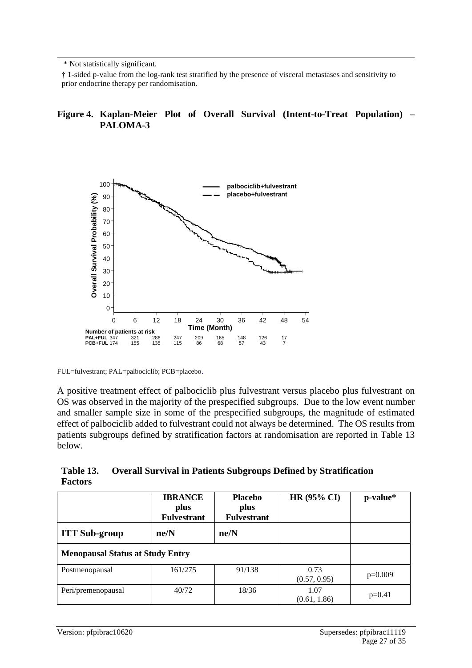\* Not statistically significant.

† 1-sided p-value from the log-rank test stratified by the presence of visceral metastases and sensitivity to prior endocrine therapy per randomisation.

#### **Figure 4. Kaplan-Meier Plot of Overall Survival (Intent-to-Treat Population) – PALOMA-3**



FUL=fulvestrant; PAL=palbociclib; PCB=placebo.

A positive treatment effect of palbociclib plus fulvestrant versus placebo plus fulvestrant on OS was observed in the majority of the prespecified subgroups. Due to the low event number and smaller sample size in some of the prespecified subgroups, the magnitude of estimated effect of palbociclib added to fulvestrant could not always be determined. The OS results from patients subgroups defined by stratification factors at randomisation are reported in Table 13 below.

**Table 13. Overall Survival in Patients Subgroups Defined by Stratification Factors**

|                                         | <b>IBRANCE</b><br>plus<br><b>Fulvestrant</b> | <b>Placebo</b><br>plus<br><b>Fulvestrant</b> | <b>HR (95% CI)</b>   | p-value*  |
|-----------------------------------------|----------------------------------------------|----------------------------------------------|----------------------|-----------|
| <b>ITT Sub-group</b>                    | ne/N                                         | ne/N                                         |                      |           |
| <b>Menopausal Status at Study Entry</b> |                                              |                                              |                      |           |
| Postmenopausal                          | 161/275                                      | 91/138                                       | 0.73<br>(0.57, 0.95) | $p=0.009$ |
| Peri/premenopausal                      | 40/72                                        | 18/36                                        | 1.07<br>(0.61, 1.86) | $p=0.41$  |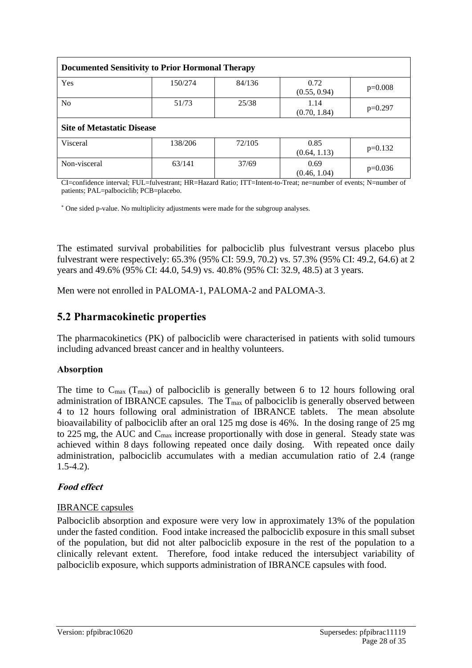| <b>Documented Sensitivity to Prior Hormonal Therapy</b> |         |        |                      |           |
|---------------------------------------------------------|---------|--------|----------------------|-----------|
| Yes                                                     | 150/274 | 84/136 | 0.72<br>(0.55, 0.94) | $p=0.008$ |
| No.                                                     | 51/73   | 25/38  | 1.14<br>(0.70, 1.84) | $p=0.297$ |
| <b>Site of Metastatic Disease</b>                       |         |        |                      |           |
| Visceral                                                | 138/206 | 72/105 | 0.85<br>(0.64, 1.13) | $p=0.132$ |
| Non-visceral                                            | 63/141  | 37/69  | 0.69<br>(0.46, 1.04) | $p=0.036$ |

CI=confidence interval; FUL=fulvestrant; HR=Hazard Ratio; ITT=Intent-to-Treat; ne=number of events; N=number of patients; PAL=palbociclib; PCB=placebo.

\* One sided p-value. No multiplicity adjustments were made for the subgroup analyses.

The estimated survival probabilities for palbociclib plus fulvestrant versus placebo plus fulvestrant were respectively: 65.3% (95% CI: 59.9, 70.2) vs. 57.3% (95% CI: 49.2, 64.6) at 2 years and 49.6% (95% CI: 44.0, 54.9) vs. 40.8% (95% CI: 32.9, 48.5) at 3 years.

Men were not enrolled in PALOMA-1, PALOMA-2 and PALOMA-3.

### **5.2 Pharmacokinetic properties**

The pharmacokinetics (PK) of palbociclib were characterised in patients with solid tumours including advanced breast cancer and in healthy volunteers.

#### **Absorption**

The time to  $C_{\text{max}}$  (T<sub>max</sub>) of palbociclib is generally between 6 to 12 hours following oral administration of IBRANCE capsules. The  $T_{\text{max}}$  of palbociclib is generally observed between 4 to 12 hours following oral administration of IBRANCE tablets. The mean absolute bioavailability of palbociclib after an oral 125 mg dose is 46%. In the dosing range of 25 mg to 225 mg, the AUC and Cmax increase proportionally with dose in general. Steady state was achieved within 8 days following repeated once daily dosing. With repeated once daily administration, palbociclib accumulates with a median accumulation ratio of 2.4 (range 1.5-4.2).

#### **Food effect**

#### IBRANCE capsules

Palbociclib absorption and exposure were very low in approximately 13% of the population under the fasted condition. Food intake increased the palbociclib exposure in this small subset of the population, but did not alter palbociclib exposure in the rest of the population to a clinically relevant extent. Therefore, food intake reduced the intersubject variability of palbociclib exposure, which supports administration of IBRANCE capsules with food.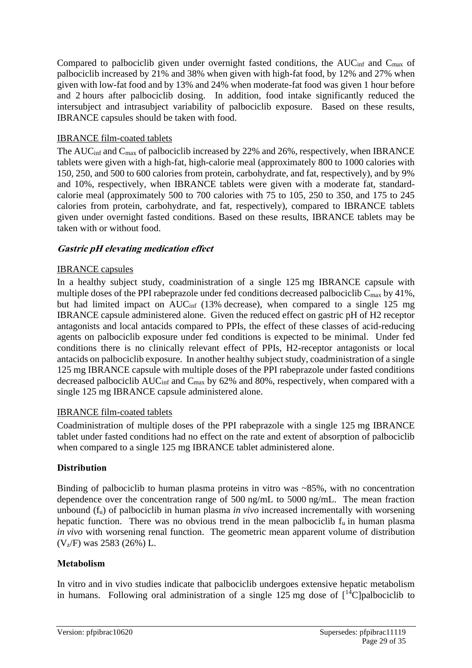Compared to palbociclib given under overnight fasted conditions, the AUC<sub>inf</sub> and C<sub>max</sub> of palbociclib increased by 21% and 38% when given with high-fat food, by 12% and 27% when given with low-fat food and by 13% and 24% when moderate-fat food was given 1 hour before and 2 hours after palbociclib dosing. In addition, food intake significantly reduced the intersubject and intrasubject variability of palbociclib exposure. Based on these results, IBRANCE capsules should be taken with food.

#### IBRANCE film-coated tablets

The AUC<sub>inf</sub> and C<sub>max</sub> of palbociclib increased by 22% and 26%, respectively, when IBRANCE tablets were given with a high-fat, high-calorie meal (approximately 800 to 1000 calories with 150, 250, and 500 to 600 calories from protein, carbohydrate, and fat, respectively), and by 9% and 10%, respectively, when IBRANCE tablets were given with a moderate fat, standardcalorie meal (approximately 500 to 700 calories with 75 to 105, 250 to 350, and 175 to 245 calories from protein, carbohydrate, and fat, respectively), compared to IBRANCE tablets given under overnight fasted conditions. Based on these results, IBRANCE tablets may be taken with or without food.

#### **Gastric pH elevating medication effect**

#### IBRANCE capsules

In a healthy subject study, coadministration of a single 125 mg IBRANCE capsule with multiple doses of the PPI rabeprazole under fed conditions decreased palbociclib  $C_{\text{max}}$  by 41%, but had limited impact on  $AUC_{inf}$  (13% decrease), when compared to a single 125 mg IBRANCE capsule administered alone. Given the reduced effect on gastric pH of H2 receptor antagonists and local antacids compared to PPIs, the effect of these classes of acid-reducing agents on palbociclib exposure under fed conditions is expected to be minimal. Under fed conditions there is no clinically relevant effect of PPIs, H2-receptor antagonists or local antacids on palbociclib exposure. In another healthy subject study, coadministration of a single 125 mg IBRANCE capsule with multiple doses of the PPI rabeprazole under fasted conditions decreased palbociclib AUC<sub>inf</sub> and C<sub>max</sub> by 62% and 80%, respectively, when compared with a single 125 mg IBRANCE capsule administered alone.

#### IBRANCE film-coated tablets

Coadministration of multiple doses of the PPI rabeprazole with a single 125 mg IBRANCE tablet under fasted conditions had no effect on the rate and extent of absorption of palbociclib when compared to a single 125 mg IBRANCE tablet administered alone.

#### **Distribution**

Binding of palbociclib to human plasma proteins in vitro was ~85%, with no concentration dependence over the concentration range of 500 ng/mL to 5000 ng/mL. The mean fraction unbound (f<sub>u</sub>) of palbociclib in human plasma *in vivo* increased incrementally with worsening hepatic function. There was no obvious trend in the mean palbociclib  $f_u$  in human plasma *in vivo* with worsening renal function. The geometric mean apparent volume of distribution (Vz/F) was 2583 (26%) L.

#### **Metabolism**

In vitro and in vivo studies indicate that palbociclib undergoes extensive hepatic metabolism in humans. Following oral administration of a single  $125$  mg dose of  $[14]$ C]palbociclib to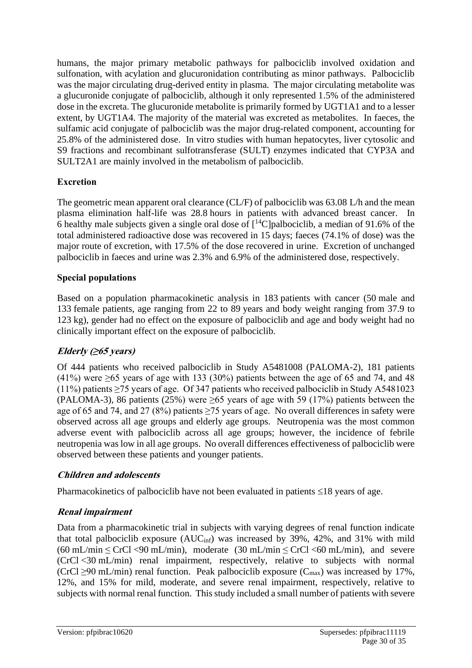humans, the major primary metabolic pathways for palbociclib involved oxidation and sulfonation, with acylation and glucuronidation contributing as minor pathways. Palbociclib was the major circulating drug-derived entity in plasma. The major circulating metabolite was a glucuronide conjugate of palbociclib, although it only represented 1.5% of the administered dose in the excreta. The glucuronide metabolite is primarily formed by UGT1A1 and to a lesser extent, by UGT1A4. The majority of the material was excreted as metabolites. In faeces, the sulfamic acid conjugate of palbociclib was the major drug-related component, accounting for 25.8% of the administered dose. In vitro studies with human hepatocytes, liver cytosolic and S9 fractions and recombinant sulfotransferase (SULT) enzymes indicated that CYP3A and SULT2A1 are mainly involved in the metabolism of palbociclib.

#### **Excretion**

The geometric mean apparent oral clearance (CL/F) of palbociclib was 63.08 L/h and the mean plasma elimination half-life was 28.8 hours in patients with advanced breast cancer. In 6 healthy male subjects given a single oral dose of  $\lceil \sqrt[14]{C} \rceil$ palbociclib, a median of 91.6% of the total administered radioactive dose was recovered in 15 days; faeces (74.1% of dose) was the major route of excretion, with 17.5% of the dose recovered in urine. Excretion of unchanged palbociclib in faeces and urine was 2.3% and 6.9% of the administered dose, respectively.

#### **Special populations**

Based on a population pharmacokinetic analysis in 183 patients with cancer (50 male and 133 female patients, age ranging from 22 to 89 years and body weight ranging from 37.9 to 123 kg), gender had no effect on the exposure of palbociclib and age and body weight had no clinically important effect on the exposure of palbociclib.

#### **Elderly (≥65 years)**

Of 444 patients who received palbociclib in Study A5481008 (PALOMA-2), 181 patients  $(41\%)$  were  $\geq 65$  years of age with 133 (30%) patients between the age of 65 and 74, and 48 (11%) patients  $\geq$ 75 years of age. Of 347 patients who received palbociclib in Study A5481023 (PALOMA-3), 86 patients (25%) were  $\geq 65$  years of age with 59 (17%) patients between the age of 65 and 74, and 27 (8%) patients  $\geq$  75 years of age. No overall differences in safety were observed across all age groups and elderly age groups. Neutropenia was the most common adverse event with palbociclib across all age groups; however, the incidence of febrile neutropenia was low in all age groups. No overall differences effectiveness of palbociclib were observed between these patients and younger patients.

#### **Children and adolescents**

Pharmacokinetics of palbociclib have not been evaluated in patients  $\leq 18$  years of age.

#### **Renal impairment**

Data from a pharmacokinetic trial in subjects with varying degrees of renal function indicate that total palbociclib exposure  $(AUC_{\text{inf}})$  was increased by 39%, 42%, and 31% with mild (60 mL/min  $\leq$  CrCl <90 mL/min), moderate (30 mL/min  $\leq$  CrCl <60 mL/min), and severe (CrCl <30 mL/min) renal impairment, respectively, relative to subjects with normal (CrCl  $\geq$ 90 mL/min) renal function. Peak palbociclib exposure (C<sub>max</sub>) was increased by 17%, 12%, and 15% for mild, moderate, and severe renal impairment, respectively, relative to subjects with normal renal function. This study included a small number of patients with severe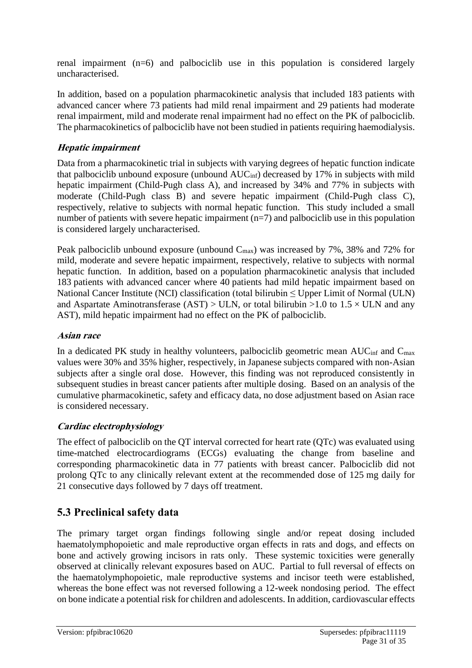renal impairment (n=6) and palbociclib use in this population is considered largely uncharacterised.

In addition, based on a population pharmacokinetic analysis that included 183 patients with advanced cancer where 73 patients had mild renal impairment and 29 patients had moderate renal impairment, mild and moderate renal impairment had no effect on the PK of palbociclib. The pharmacokinetics of palbociclib have not been studied in patients requiring haemodialysis.

#### **Hepatic impairment**

Data from a pharmacokinetic trial in subjects with varying degrees of hepatic function indicate that palbociclib unbound exposure (unbound  $AUC<sub>inf</sub>$ ) decreased by 17% in subjects with mild hepatic impairment (Child-Pugh class A), and increased by 34% and 77% in subjects with moderate (Child-Pugh class B) and severe hepatic impairment (Child-Pugh class C), respectively, relative to subjects with normal hepatic function. This study included a small number of patients with severe hepatic impairment  $(n=7)$  and palbociclib use in this population is considered largely uncharacterised.

Peak palbociclib unbound exposure (unbound  $C_{\text{max}}$ ) was increased by 7%, 38% and 72% for mild, moderate and severe hepatic impairment, respectively, relative to subjects with normal hepatic function. In addition, based on a population pharmacokinetic analysis that included 183 patients with advanced cancer where 40 patients had mild hepatic impairment based on National Cancer Institute (NCI) classification (total bilirubin ≤ Upper Limit of Normal (ULN) and Aspartate Aminotransferase (AST)  $>$  ULN, or total bilirubin  $>1.0$  to  $1.5 \times$  ULN and any AST), mild hepatic impairment had no effect on the PK of palbociclib.

### **Asian race**

In a dedicated PK study in healthy volunteers, palbociclib geometric mean  $AUC_{inf}$  and  $C_{max}$ values were 30% and 35% higher, respectively, in Japanese subjects compared with non-Asian subjects after a single oral dose. However, this finding was not reproduced consistently in subsequent studies in breast cancer patients after multiple dosing. Based on an analysis of the cumulative pharmacokinetic, safety and efficacy data, no dose adjustment based on Asian race is considered necessary.

### **Cardiac electrophysiology**

The effect of palbociclib on the QT interval corrected for heart rate (QTc) was evaluated using time-matched electrocardiograms (ECGs) evaluating the change from baseline and corresponding pharmacokinetic data in 77 patients with breast cancer. Palbociclib did not prolong QTc to any clinically relevant extent at the recommended dose of 125 mg daily for 21 consecutive days followed by 7 days off treatment.

## **5.3 Preclinical safety data**

The primary target organ findings following single and/or repeat dosing included haematolymphopoietic and male reproductive organ effects in rats and dogs, and effects on bone and actively growing incisors in rats only. These systemic toxicities were generally observed at clinically relevant exposures based on AUC. Partial to full reversal of effects on the haematolymphopoietic, male reproductive systems and incisor teeth were established, whereas the bone effect was not reversed following a 12-week nondosing period. The effect on bone indicate a potential risk for children and adolescents. In addition, cardiovascular effects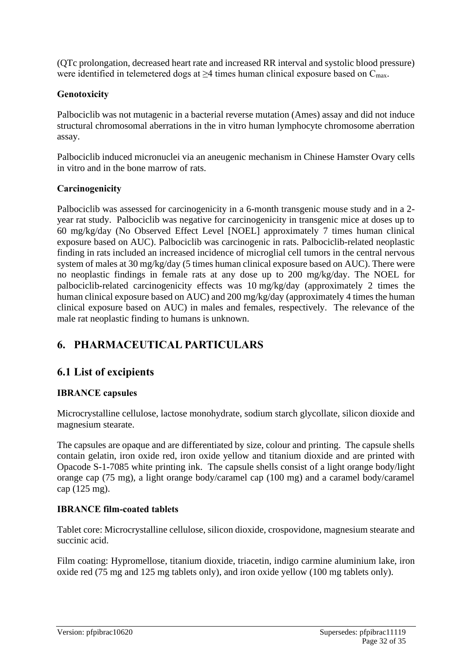(QTc prolongation, decreased heart rate and increased RR interval and systolic blood pressure) were identified in telemetered dogs at  $\geq$ 4 times human clinical exposure based on  $C_{\text{max}}$ .

#### **Genotoxicity**

Palbociclib was not mutagenic in a bacterial reverse mutation (Ames) assay and did not induce structural chromosomal aberrations in the in vitro human lymphocyte chromosome aberration assay.

Palbociclib induced micronuclei via an aneugenic mechanism in Chinese Hamster Ovary cells in vitro and in the bone marrow of rats.

#### **Carcinogenicity**

Palbociclib was assessed for carcinogenicity in a 6-month transgenic mouse study and in a 2 year rat study. Palbociclib was negative for carcinogenicity in transgenic mice at doses up to 60 mg/kg/day (No Observed Effect Level [NOEL] approximately 7 times human clinical exposure based on AUC). Palbociclib was carcinogenic in rats. Palbociclib-related neoplastic finding in rats included an increased incidence of microglial cell tumors in the central nervous system of males at 30 mg/kg/day (5 times human clinical exposure based on AUC). There were no neoplastic findings in female rats at any dose up to 200 mg/kg/day. The NOEL for palbociclib-related carcinogenicity effects was 10 mg/kg/day (approximately 2 times the human clinical exposure based on AUC) and 200 mg/kg/day (approximately 4 times the human clinical exposure based on AUC) in males and females, respectively. The relevance of the male rat neoplastic finding to humans is unknown.

## **6. PHARMACEUTICAL PARTICULARS**

## **6.1 List of excipients**

### **IBRANCE capsules**

Microcrystalline cellulose, lactose monohydrate, sodium starch glycollate, silicon dioxide and magnesium stearate.

The capsules are opaque and are differentiated by size, colour and printing. The capsule shells contain gelatin, iron oxide red, iron oxide yellow and titanium dioxide and are printed with Opacode S-1-7085 white printing ink. The capsule shells consist of a light orange body/light orange cap (75 mg), a light orange body/caramel cap (100 mg) and a caramel body/caramel cap (125 mg).

### **IBRANCE film-coated tablets**

Tablet core: Microcrystalline cellulose, silicon dioxide, crospovidone, magnesium stearate and succinic acid.

Film coating: Hypromellose, titanium dioxide, triacetin, indigo carmine aluminium lake, iron oxide red (75 mg and 125 mg tablets only), and iron oxide yellow (100 mg tablets only).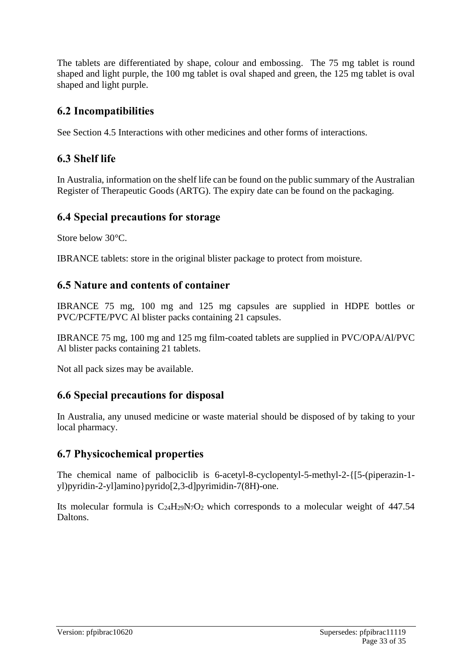The tablets are differentiated by shape, colour and embossing. The 75 mg tablet is round shaped and light purple, the 100 mg tablet is oval shaped and green, the 125 mg tablet is oval shaped and light purple.

## **6.2 Incompatibilities**

See Section 4.5 Interactions with other medicines and other forms of interactions.

## **6.3 Shelf life**

In Australia, information on the shelf life can be found on the public summary of the Australian Register of Therapeutic Goods (ARTG). The expiry date can be found on the packaging.

## **6.4 Special precautions for storage**

Store below 30°C.

IBRANCE tablets: store in the original blister package to protect from moisture.

## **6.5 Nature and contents of container**

IBRANCE 75 mg, 100 mg and 125 mg capsules are supplied in HDPE bottles or PVC/PCFTE/PVC Al blister packs containing 21 capsules.

IBRANCE 75 mg, 100 mg and 125 mg film-coated tablets are supplied in PVC/OPA/Al/PVC Al blister packs containing 21 tablets.

Not all pack sizes may be available.

## **6.6 Special precautions for disposal**

In Australia, any unused medicine or waste material should be disposed of by taking to your local pharmacy.

## **6.7 Physicochemical properties**

The chemical name of palbociclib is 6-acetyl-8-cyclopentyl-5-methyl-2-{[5-(piperazin-1 yl)pyridin-2-yl]amino}pyrido[2,3-d]pyrimidin-7(8H)-one.

Its molecular formula is  $C_{24}H_{29}N_7O_2$  which corresponds to a molecular weight of 447.54 Daltons.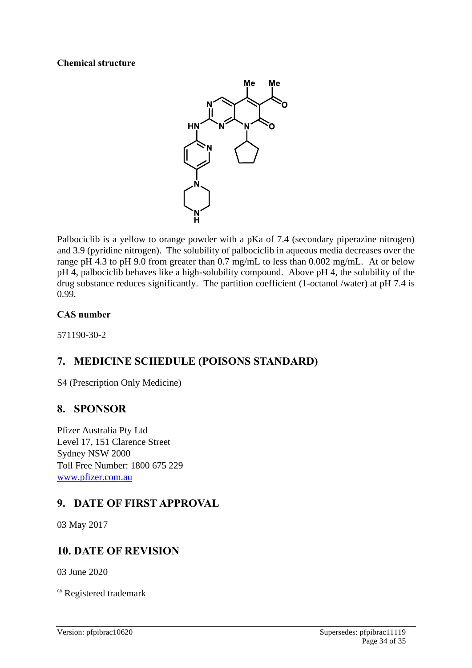#### **Chemical structure**



Palbociclib is a yellow to orange powder with a pKa of 7.4 (secondary piperazine nitrogen) and 3.9 (pyridine nitrogen). The solubility of palbociclib in aqueous media decreases over the range pH 4.3 to pH 9.0 from greater than 0.7 mg/mL to less than 0.002 mg/mL. At or below pH 4, palbociclib behaves like a high-solubility compound. Above pH 4, the solubility of the drug substance reduces significantly. The partition coefficient (1-octanol /water) at pH 7.4 is 0.99.

#### **CAS number**

571190-30-2

## **7. MEDICINE SCHEDULE (POISONS STANDARD)**

S4 (Prescription Only Medicine)

### **8. SPONSOR**

Pfizer Australia Pty Ltd Level 17, 151 Clarence Street Sydney NSW 2000 Toll Free Number: 1800 675 229 [www.pfizer.com.au](http://www.pfizer.com.au/)

## **9. DATE OF FIRST APPROVAL**

03 May 2017

## **10. DATE OF REVISION**

03 June 2020

® Registered trademark